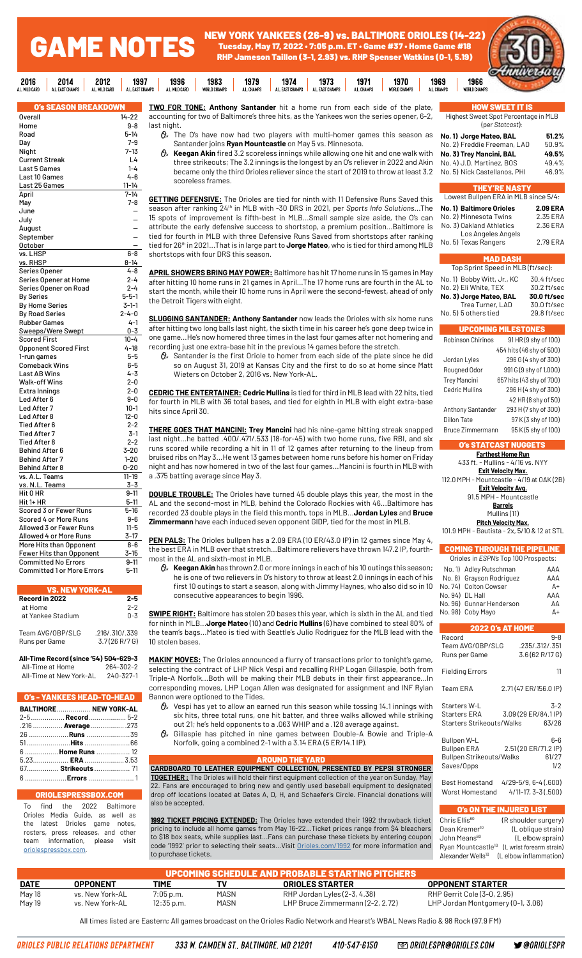NEW YORK YANKEES (26-9) vs. BALTIMORE ORIOLES (14-22) Tuesday, May 17, 2022 • 7:05 p.m. ET • Game #37 • Home Game #18 RHP Jameson Taillon (3-1, 2.93) vs. RHP Spenser Watkins (0-1, 5.19)

1971

1970

1969

1973



| O's SEASON BREAKDOWN              |             |
|-----------------------------------|-------------|
| Overall                           | 14-22       |
| Home                              | 9-8         |
| Road                              | 5-14        |
| Day                               | $7 - 9$     |
| Night                             | 7-13        |
| <b>Current Streak</b>             | L4          |
| Last 5 Games                      | $1 - 4$     |
| Last 10 Games                     | 4-6         |
| Last 25 Games                     | $11 - 14$   |
| April                             | $7 - 14$    |
| May                               | $7 - 8$     |
| June                              |             |
| July                              |             |
| August                            |             |
| September                         |             |
| <b>October</b>                    |             |
| vs. LHSP                          | $6 - 8$     |
| vs. RHSP                          | $8 - 14$    |
| Series Opener                     | 4-8         |
| Series Opener at Home             | $2 - 4$     |
| Series Opener on Road             | $2 - 4$     |
| <b>By Series</b>                  | $5 - 5 - 1$ |
| By Home Series                    | $3-1-1$     |
| <b>By Road Series</b>             | $2 - 4 - 0$ |
| <b>Rubber Games</b>               | $4 - 1$     |
| Sweeps/Were Swept                 | $0 - 3$     |
| <b>Scored First</b>               | $10 - 4$    |
| <b>Opponent Scored First</b>      | $4 - 18$    |
| 1-run games                       | $5-5$       |
| Comeback Wins                     | 6-5         |
| Last AB Wins                      | 4-3         |
| Walk-off Wins                     | $2 - 0$     |
| Extra Innings                     | $2 - 0$     |
| Led After 6                       | 9-0         |
| Led After 7                       | $10-1$      |
| Led After 8                       | 12-0        |
| Tied After 6                      | $2 - 2$     |
| <b>Tied After 7</b>               | 3-1         |
| <b>Tied After 8</b>               | $2 - 2$     |
| Behind After 6                    | 3-20        |
| <b>Behind After 7</b>             | $1 - 20$    |
| <b>Behind After 8</b>             | 0-20        |
| vs. A.L. Teams                    | 11-19       |
| vs. N.L. Teams                    | 3-3         |
| Hit 0 HR                          | $9 - 11$    |
| Hit 1+ HR                         | $5 - 11$    |
| Scored 3 or Fewer Runs            | 5-16        |
| Scored 4 or More Runs             | 9-6         |
| Allowed 3 or Fewer Runs           | $11 - 5$    |
| Allowed 4 or More Runs            | $3-17$      |
| More Hits than Opponent           | 8-6         |
| Fewer Hits than Opponent          | 3-15        |
| <b>Committed No Errors</b>        | $9 - 11$    |
| <b>Committed 1 or More Errors</b> | 5-11        |

GAME NOTES

1997

AL EAST C

1996

1983

1979

2012<br>L WILD CARD

2014

2016

.<br>Card

| <b>VS. NEW YORK-AL</b>            |                                 |
|-----------------------------------|---------------------------------|
| Record in 2022                    | 2-5                             |
| at Home                           | $2 - 2$                         |
| at Yankee Stadium                 | $0 - 3$                         |
| Team AVG/OBP/SLG<br>Runs per Game | .216/.310/.339<br>3.7(26 R/7 G) |

**All-Time Record (since '54) 504-629-3** All-Time at Home All-Time at New York-AL 240-327-1

## O's - YANKEES HEAD-TO-HEAD

| - VS - TANNEES READ-TU-READ |  |
|-----------------------------|--|
| BALTIMORE NEW YORK-AL       |  |
|                             |  |
| .216  Average273            |  |
| 26 <b>Runs</b> 39           |  |
|                             |  |
| 6 Home Runs  12             |  |
| $5.23$ <b>ERA</b> 3.53      |  |
| 67 Strikeouts  71           |  |
| 6 Frrors 1                  |  |

### ORIOLE<sub>s</sub>

To find the 2022 Baltimore Orioles Media Guide, as well as the latest Orioles game notes, rosters, press releases, and other team information, please visit [oriolespressbox.com.](http://www.oriolespressbox.com)

**TWO FOR TONE: Anthony Santander** hit a home run from each side of the plate, accounting for two of Baltimore's three hits, as the Yankees won the series opener, 6-2, last night.

1974

- $\theta_{\ell}$ . The O's have now had two players with multi-homer games this season as Santander joins **Ryan Mountcastle** on May 5 vs. Minnesota.
- **Keegan Akin** fired 3.2 scoreless innings while allowing one hit and one walk with three strikeouts; The 3.2 innings is the longest by an O's reliever in 2022 and Akin became only the third Orioles reliever since the start of 2019 to throw at least 3.2 scoreless frames.

**GETTING DEFENSIVE:** The Orioles are tied for ninth with 11 Defensive Runs Saved this season after ranking 24th in MLB with -30 DRS in 2021, per *Sports Info Solutions*...The 15 spots of improvement is fifth-best in MLB...Small sample size aside, the O's can attribute the early defensive success to shortstop, a premium position...Baltimore is tied for fourth in MLB with three Defensive Runs Saved from shortstops after ranking tied for 26th in 2021...That is in large part to **Jorge Mateo**, who is tied for third among MLB shortstops with four DRS this season.

**APRIL SHOWERS BRING MAY POWER:** Baltimore has hit 17 home runs in 15 games in May after hitting 10 home runs in 21 games in April...The 17 home runs are fourth in the AL to start the month, while their 10 home runs in April were the second-fewest, ahead of only the Detroit Tigers with eight.

**SLUGGING SANTANDER: Anthony Santander** now leads the Orioles with six home runs after hitting two long balls last night, the sixth time in his career he's gone deep twice in one game...He's now homered three times in the last four games after not homering and recording just one extra-base hit in the previous 14 games before the stretch.

 $\theta$  Santander is the first Oriole to homer from each side of the plate since he did so on August 31, 2019 at Kansas City and the first to do so at home since Matt Wieters on October 2, 2016 vs. New York-AL.

**CEDRIC THE ENTERTAINER: Cedric Mullins** is tied for third in MLB lead with 22 hits, tied for fourth in MLB with 36 total bases, and tied for eighth in MLB with eight extra-base hits since April 30.

**THERE GOES THAT MANCINI: Trey Mancini** had his nine-game hitting streak snapped last night...he batted .400/.471/.533 (18-for-45) with two home runs, five RBI, and six runs scored while recording a hit in 11 of 12 games after returning to the lineup from bruised ribs on May 3...He went 13 games between home runs before his homer on Friday night and has now homered in two of the last four games...Mancini is fourth in MLB with a .375 batting average since May 3.

**DOUBLE TROUBLE:** The Orioles have turned 45 double plays this year, the most in the AL and the second-most in MLB, behind the Colorado Rockies with 46...Baltimore has recorded 23 double plays in the field this month, tops in MLB...**Jordan Lyles** and **Bruce Zimmermann** have each induced seven opponent GIDP, tied for the most in MLB.

**PEN PALS:** The Orioles bullpen has a 2.09 ERA (10 ER/43.0 IP) in 12 games since May 4, the best ERA in MLB over that stretch...Baltimore relievers have thrown 147.2 IP, fourthmost in the AL and sixth-most in MLB.

 **Keegan Akin** has thrown 2.0 or more innings in each of his 10 outings this season; he is one of two relievers in O's history to throw at least 2.0 innings in each of his first 10 outings to start a season, along with Jimmy Haynes, who also did so in 10 consecutive appearances to begin 1996.

**SWIPE RIGHT:** Baltimore has stolen 20 bases this year, which is sixth in the AL and tied for ninth in MLB...**Jorge Mateo** (10) and **Cedric Mullins** (6) have combined to steal 80% of the team's bags...Mateo is tied with Seattle's Julio Rodríguez for the MLB lead with the 10 stolen bases.

**MAKIN' MOVES:** The Orioles announced a flurry of transactions prior to tonight's game, selecting the contract of LHP Nick Vespi and recalling RHP Logan Gillaspie, both from Triple-A Norfolk...Both will be making their MLB debuts in their first appearance...In corresponding moves, LHP Logan Allen was designated for assignment and INF Rylan Bannon were optioned to the Tides.

- $\theta$  Vespi has yet to allow an earned run this season while tossing 14.1 innings with six hits, three total runs, one hit batter, and three walks allowed while striking out 21; he's held opponents to a .063 WHIP and a .128 average against.
- $\theta$  Gillaspie has pitched in nine games between Double-A Bowie and Triple-A Norfolk, going a combined 2-1 with a 3.14 ERA (5 ER/14.1 IP).

### AROUND THE YARD

**CARDBOARD TO LEATHER EQUIPMENT COLLECTION, PRESENTED BY PEPSI STRONGER TOGETHER :** The Orioles will hold their first equipment collection of the year on Sunday, May 22. Fans are encouraged to bring new and gently used baseball equipment to designated drop off locations located at Gates A, D, H, and Schaefer's Circle. Financial donations will also be accepted.

**1992 TICKET PRICING EXTENDED:** The Orioles have extended their 1992 throwback ticket pricing to include all home games from May 16-22...Ticket prices range from \$4 bleachers to \$18 box seats, while supplies last...Fans can purchase these tickets by entering coupon code '1992' prior to selecting their seats...Visit [Orioles.com/1992](http://Orioles.com/1992 ) for more information and to purchase tickets.

| <b>HOW SWEET IT IS</b>               |
|--------------------------------------|
| Highest Sweet Spot Percentage in MLB |
| (per Statcast):                      |

| No. 1) Jorge Mateo, BAL      | 51.2% |
|------------------------------|-------|
| No. 2) Freddie Freeman, LAD  | 50.9% |
| No. 3) Trey Mancini, BAL     | 49.5% |
| No. 4) J.D. Martinez, BOS    | 49.4% |
| No. 5) Nick Castellanos, PHI | 46.9% |

| <b>THEY'RE NASTY</b>                 |                 |  |
|--------------------------------------|-----------------|--|
| Lowest Bullpen ERA in MLB since 5/4: |                 |  |
| <b>No. 1) Baltimore Orioles</b>      | <b>2.09 ERA</b> |  |
| No. 2) Minnesota Twins               | 2.35 ERA        |  |
| No. 3) Oakland Athletics             | 2.36 ERA        |  |
| Los Angeles Angels                   |                 |  |

| No. 5) Texas Rangers | 2.79 ERA |
|----------------------|----------|
| <b>MAD DASH</b>      |          |

| Top Sprint Speed in MLB (ft/sec):    |             |
|--------------------------------------|-------------|
| No. 1) Bobby Witt, Jr., KC           | 30.4 ft/sec |
| No. 2) Eli White, TEX<br>30.2 ft/sec |             |
| No. 3) Jorge Mateo, BAL              | 30.0 ft/sec |
| Trea Turner, LAD                     | 30.0 ft/sec |
| No. 5) 5 others tied                 | 29.8 ft/sec |
|                                      |             |

## UPCOMING MILESTONES

| Robinson Chirinos       | 91 HR (9 shy of 100)     |
|-------------------------|--------------------------|
|                         | 454 hits (46 shy of 500) |
| Jordan Lyles            | 296 G (4 shy of 300)     |
| Rougned Odor            | 991 G (9 shy of 1,000)   |
| <b>Trey Mancini</b>     | 657 hits (43 shy of 700) |
| <b>Cedric Mullins</b>   | 296 H (4 shy of 300)     |
|                         | 42 HR (8 shy of 50)      |
| Anthony Santander       | 293 H (7 shy of 300)     |
| Dillon Tate             | 97 K (3 shy of 100)      |
| <b>Bruce Zimmermann</b> | 95 K (5 shy of 100)      |

## O's STATCAST NUGGETS

| <b>Farthest Home Run</b>                    |  |  |
|---------------------------------------------|--|--|
| 433 ft. - Mullins - 4/16 vs. NYY            |  |  |
| <b>Exit Velocity Max.</b>                   |  |  |
| 112.0 MPH - Mountcastle - 4/19 at OAK (2B)  |  |  |
| Exit Velocity Avg.                          |  |  |
| 91.5 MPH - Mountcastle                      |  |  |
| <b>Barrels</b>                              |  |  |
| Mullins (11)                                |  |  |
| Pitch Velocity Max.                         |  |  |
| 101.9 MPH - Bautista - 2x, 5/10 & 12 at STL |  |  |

### **DMING THROUGH THE PIPELIN**

| Orioles in ESPN's Top 100 Prospects:                                 |                                                                                               |                                                       |                                               |
|----------------------------------------------------------------------|-----------------------------------------------------------------------------------------------|-------------------------------------------------------|-----------------------------------------------|
| No. 1)<br>No. 8)<br>No. 74)<br>No. 94) DL Hall<br>No. 96)<br>No. 98) | Adley Rutschman<br>Grayson Rodriguez<br><b>Colton Cowser</b><br>Gunnar Henderson<br>Coby Mayo |                                                       | AAA<br>AAA<br>$\Delta +$<br>AAA<br>AA<br>$A+$ |
|                                                                      |                                                                                               | <b>2022 O's AT HOME</b>                               |                                               |
| Record                                                               | Team AVG/OBP/SLG<br>Runs per Game                                                             | .235/.312/.351<br>3.6 (62 R/17 G)                     | $9 - 8$                                       |
|                                                                      | <b>Fielding Errors</b>                                                                        |                                                       | 11                                            |
| <b>Team ERA</b>                                                      |                                                                                               | 2.71 (47 ER/156.0 IP)                                 |                                               |
| Starters W-L<br><b>Starters ERA</b>                                  | Starters Strikeouts/Walks                                                                     | 3.09 (29 ER/84.1 IP)                                  | 3-2<br>63/26                                  |
| Bullpen W-L<br><b>Bullpen ERA</b><br>Saves/Opps                      | <b>Bullpen Strikeouts/Walks</b>                                                               | 2.51(20 ER/71.2 IP)                                   | 6-6<br>61/27<br>1/2                           |
|                                                                      | <b>Best Homestand</b><br>Worst Homestand                                                      | $4/29 - 5/9, 6 - 4(.600)$<br>$4/11-17$ , $3-3$ (.500) |                                               |
|                                                                      |                                                                                               | O's ON THE INJURED LIST                               |                                               |
|                                                                      | $Chrio$ $EIIio60$                                                                             | $(D$ oboulder ourgery                                 |                                               |

| Chris Ellis <sup>60</sup>     | (R shoulder surgery)                                    |
|-------------------------------|---------------------------------------------------------|
| Dean Kremer <sup>10</sup>     | (L oblique strain)                                      |
| John Means <sup>60</sup>      | (L elbow sprain)                                        |
|                               | Ryan Mountcastle <sup>10</sup> (L wrist forearm strain) |
| Alexander Wells <sup>10</sup> | (L elbow inflammation)                                  |

| <b>UPCOMING SCHEDULE AND PROBABLE STARTING PITCHERS</b> |                 |             |             |                                  |                                   |  |  |  |  |  |  |  |  |
|---------------------------------------------------------|-----------------|-------------|-------------|----------------------------------|-----------------------------------|--|--|--|--|--|--|--|--|
| <b>DATE</b>                                             | OPPONENT        | TIME        |             | <b>ORIOLES STARTER</b>           | <b>OPPONENT STARTER</b>           |  |  |  |  |  |  |  |  |
| May 18                                                  | vs. New York-AL | $7:05$ p.m. | <b>MASN</b> | RHP Jordan Lyles (2-3, 4.38)     | RHP Gerrit Cole (3-0, 2.95)       |  |  |  |  |  |  |  |  |
| May 19                                                  | vs. New York-AL | 12:35 p.m.  | <b>MASN</b> | LHP Bruce Zimmermann (2-2, 2.72) | LHP Jordan Montgomery (0-1, 3.06) |  |  |  |  |  |  |  |  |

All times listed are Eastern; All games broadcast on the Orioles Radio Network and Hearst's WBAL News Radio & 98 Rock (97.9 FM)

**@ ORIOLESPR@ORIOLES.COM**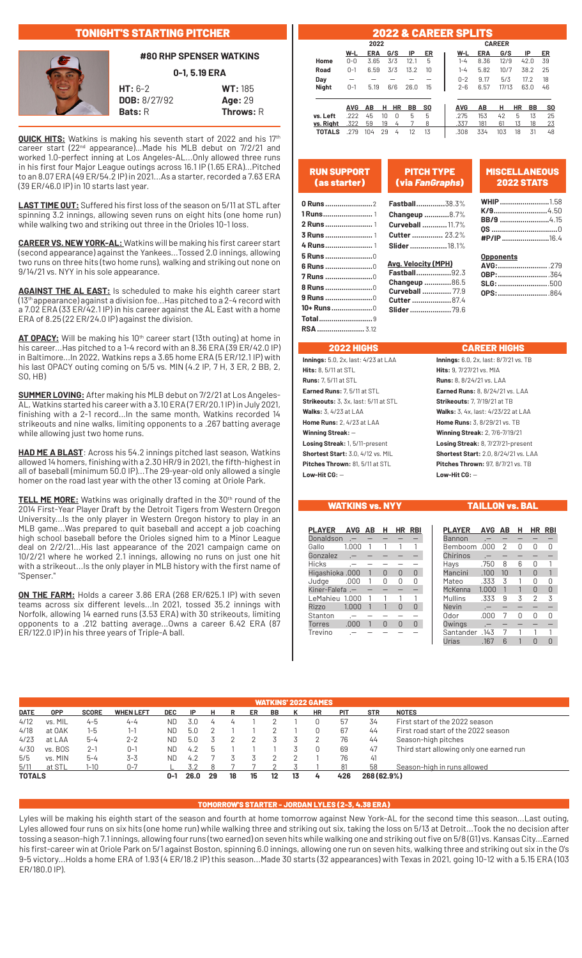## TONIGHT'S STARTING PITCHER



## **#80 RHP SPENSER WATKINS**

**0-1, 5.19 ERA**

**HT:** 6-2 **WT:** 185 **DOB:** 8/27/92 **Age:** 29 **Bats:** R **Throws:** R

**QUICK HITS:** Watkins is making his seventh start of 2022 and his 17th career start (22<sup>nd</sup> appearance)... Made his MLB debut on 7/2/21 and worked 1.0-perfect inning at Los Angeles-AL...Only allowed three runs in his first four Major League outings across 16.1 IP (1.65 ERA)...Pitched to an 8.07 ERA (49 ER/54.2 IP) in 2021...As a starter, recorded a 7.63 ERA (39 ER/46.0 IP) in 10 starts last year.

**LAST TIME OUT:** Suffered his first loss of the season on 5/11 at STL after spinning 3.2 innings, allowing seven runs on eight hits (one home run) while walking two and striking out three in the Orioles 10-1 loss.

**CAREER VS. NEW YORK-AL:** Watkins will be making his first career start (second appearance) against the Yankees...Tossed 2.0 innings, allowing two runs on three hits (two home runs), walking and striking out none on 9/14/21 vs. NYY in his sole appearance.

**AGAINST THE AL EAST:** Is scheduled to make his eighth career start (13th appearance) against a division foe...Has pitched to a 2-4 record with a 7.02 ERA (33 ER/42.1 IP) in his career against the AL East with a home ERA of 8.25 (22 ER/24.0 IP) against the division.

AT OPACY: Will be making his 10<sup>th</sup> career start (13th outing) at home in his career...Has pitched to a 1-4 record with an 8.36 ERA (39 ER/42.0 IP) in Baltimore...In 2022, Watkins reps a 3.65 home ERA (5 ER/12.1 IP) with his last OPACY outing coming on 5/5 vs. MIN (4.2 IP, 7 H, 3 ER, 2 BB, 2, SO, HB)

**SUMMER LOVING:** After making his MLB debut on 7/2/21 at Los Angeles-AL, Watkins started his career with a 3.10 ERA (7 ER/20.1 IP) in July 2021, finishing with a 2-1 record...In the same month, Watkins recorded 14 strikeouts and nine walks, limiting opponents to a .267 batting average while allowing just two home runs.

**HAD ME A BLAST**: Across his 54.2 innings pitched last season, Watkins allowed 14 homers, finishing with a 2.30 HR/9 in 2021, the fifth-highest in all of baseball (minimum 50.0 IP)...The 29-year-old only allowed a single homer on the road last year with the other 13 coming at Oriole Park.

TELL ME MORE: Watkins was originally drafted in the 30<sup>th</sup> round of the 2014 First-Year Player Draft by the Detroit Tigers from Western Oregon University...Is the only player in Western Oregon history to play in an MLB game...Was prepared to quit baseball and accept a job coaching high school baseball before the Orioles signed him to a Minor League deal on 2/2/21...His last appearance of the 2021 campaign came on 10/2/21 where he worked 2.1 innings, allowing no runs on just one hit with a strikeout...Is the only player in MLB history with the first name of "Spenser."

**ON THE FARM:** Holds a career 3.86 ERA (268 ER/625.1 IP) with seven teams across six different levels...In 2021, tossed 35.2 innings with Norfolk, allowing 14 earned runs (3.53 ERA) with 30 strikeouts, limiting opponents to a .212 batting average...Owns a career 6.42 ERA (87 ER/122.0 IP) in his three years of Triple-A ball.

|                       |            |      |    |           |      |     |  |  | <b>2022 &amp; CAREER SPLITS</b> |            |       |    |      |                |
|-----------------------|------------|------|----|-----------|------|-----|--|--|---------------------------------|------------|-------|----|------|----------------|
| 2022<br><b>CAREER</b> |            |      |    |           |      |     |  |  |                                 |            |       |    |      |                |
|                       | W-L        | ERA  |    | G/S       | IP   | ER  |  |  | W-L                             | <b>ERA</b> | G/S   |    | IP   | ER             |
| Home                  | $0 - 0$    | 3.65 |    | 3/3       | 12.1 | 5   |  |  | $1 - 4$                         | 8.36       | 12/9  |    | 42.0 | 39             |
| Road                  | $0 - 1$    | 6.59 |    | 3/3       | 13.2 | 10  |  |  | $1 - 4$                         | 5.82       | 10/7  |    | 38.2 | 25             |
| Day                   |            |      |    |           |      |     |  |  | $0 - 2$                         | 9.17       | 5/3   |    | 17.2 | 18             |
| <b>Night</b>          | $0 - 1$    | 5.19 |    | 6/6       | 26.0 | 15  |  |  | $2 - 6$                         | 6.57       | 17/13 |    | 63.0 | 46             |
|                       | <b>AVG</b> | AB   | н  | <b>HR</b> | BB   | SO. |  |  | <b>AVG</b>                      | AВ         | н     | ΗR | BB   | S <sub>0</sub> |
| vs. Left              | .222       | 45   | 10 | 0         | 5    | 5   |  |  | .275                            | 153        | 42    | 5  | 13   | 25             |
| vs. Right             | .322       | 59   | 19 | 4         |      | 8   |  |  | .337                            | 181        | 61    | 13 | 18   | 23             |
| <b>TOTALS</b>         | .279       | 104  | 29 | 4         | 12   | 13  |  |  | .308                            | 334        | 103   | 18 | 31   | 48             |

| <b>RUN SUPPORT</b><br>(as starter) | <b>PITCH TYPE</b><br>(via FanGraphs) | <b>MISCELLANEOUS</b><br><b>2022 STATS</b> |  |
|------------------------------------|--------------------------------------|-------------------------------------------|--|
|                                    | <b>Fastball38.3%</b>                 | <b>WHIP</b> 1.58                          |  |
|                                    |                                      |                                           |  |
|                                    | <b>Changeup 8.7%</b>                 | <b>BB/9</b> 4.15                          |  |
|                                    | Curveball  11.7%                     |                                           |  |
|                                    | <b>Cutter </b> 23.2%                 | #P/IP 16.4                                |  |
|                                    | Slider  18.1%                        |                                           |  |
|                                    |                                      | <b>Opponents</b>                          |  |
| 6 Runs 0                           | <b>Avg. Velocity (MPH)</b>           | AVG:279                                   |  |
| <b>7 Runs</b> 0                    | <b>Fastball</b> 92.3                 | OBP:364                                   |  |
|                                    | Changeup 86.5                        | SLG: 500                                  |  |
| 8 Runs 0                           | <b>Curveball  77.9</b>               | OPS: 864                                  |  |
|                                    | <b>Cutter  87.4</b>                  |                                           |  |
| 10+ Runs0                          | Slider 79.6                          |                                           |  |

## 2022 HIGHS CAREER HIGHS

 **Total..........................**9  **RSA.......................** 3.12

**Hits:** 8, 5/11 at STL **Hits:** 9, 7/27/21 vs. MIA **Runs:** 7, 5/11 at STL **Runs:** 8, 8/24/21 vs. LAA **Earned Runs:** 7, 5/11 at STL **Earned Runs:** 8, 8/24/21 vs. LAA **Strikeouts:** 3, 3x, last: 5/11 at STL **Strikeouts:** 7, 7/19/21 at TB **Walks:** 3, 4/23 at LAA **Walks:** 3, 4x, last: 4/23/22 at LAA **Home Runs:** 2, 4/23 at LAA **Home Runs:** 3, 8/29/21 vs. TB **Winning Streak:** — **Winning Streak:** 2, 7/6-7/19/21 **Losing Streak:** 1, 5/11-present **Losing Streak:** 8, 7/27/21-present **Shortest Start:** 3.0, 4/12 vs. MIL **Shortest Start:** 2.0, 8/24/21 vs. LAA **Pitches Thrown:** 81, 5/11 at STL **Pitches Thrown:** 97, 8/7/21 vs. TB **Low-Hit CG:** — **Low-Hit CG:** —

**Innings:** 5.0, 2x, last: 4/23 at LAA **Innings:** 6.0, 2x, last: 8/7/21 vs. TB

WATKINS vs. NYY TAILLON vs. BAL

| <b>PLAYER</b>   | AVG AB | н | HR. | <b>RBI</b> |
|-----------------|--------|---|-----|------------|
| Donaldson       |        |   |     |            |
| Gallo           | 1.000  |   |     |            |
| Gonzalez        |        |   |     |            |
| Hicks           |        |   |     |            |
| Higashioka .000 |        | N | N   | ⋂          |
| Judge           | .000   |   |     |            |
| Kiner-Falefa.-  |        |   |     |            |
| LeMahieu 1.000  |        |   |     |            |
| Rizzo           | 1.000  |   | ∩   | ∩          |
| Stanton         | .—     |   |     |            |
| Torres          | .000   |   |     |            |
| Trevino         |        |   |     |            |

| <b>PLAYER</b>  | <b>AVG</b>                         | AB | н | НR | <b>RBI</b> |
|----------------|------------------------------------|----|---|----|------------|
| Bannon         |                                    |    |   |    |            |
| Bemboom        | .000                               | 2  | N | n  | Π          |
| Chirinos       | $\cdot$ $-$                        |    |   |    |            |
| Hays           | .750                               | 8  | 6 | N  |            |
| Mancini        | .100                               | 10 |   | U  |            |
| Mateo          | .333                               | 3  |   | 0  | 0          |
| McKenna        | 1.000                              | 1  | 1 | U  | $\Omega$   |
| Mullins        | .333                               | 9  | 3 | 2  | 3          |
| Nevin          | $\cdot$ - $\overline{\phantom{a}}$ |    |   |    |            |
| Odor           | .000                               | 7  | N | Π  | Ω          |
| Owings         | $\cdot$ - $\overline{\phantom{a}}$ |    |   |    |            |
| Santander .143 |                                    |    |   |    |            |
| Urías          | .167                               | ჩ  |   |    |            |

|             |            |              |                  |            |      |    |    |    |     |    | <b>WATKINS' 2022 GAMES</b> |            |             |                                          |
|-------------|------------|--------------|------------------|------------|------|----|----|----|-----|----|----------------------------|------------|-------------|------------------------------------------|
| <b>DATE</b> | <b>OPP</b> | <b>SCORE</b> | <b>WHEN LEFT</b> | <b>DEC</b> | IP   | н  |    | ER | BB. |    | <b>HR</b>                  | <b>PIT</b> | <b>STR</b>  | <b>NOTES</b>                             |
| 4/12        | vs. MIL    | $4 - 5$      | $4 - 4$          | <b>ND</b>  | 3.0  | 4  |    |    |     |    |                            | 57         | 34          | First start of the 2022 season           |
| 4/18        | at OAK     | 1-5          | 1-1              | ND.        | 5.0  |    |    |    |     |    |                            | 67         | 44          | First road start of the 2022 season      |
| 4/23        | at LAA     | $5 - 4$      | $2 - 2$          | <b>ND</b>  | 5.0  |    |    |    |     |    |                            | 76         | 44          | Season-high pitches                      |
| 4/30        | vs. BOS    | $2 - 1$      | $0 - 1$          | ND.        | 4.2  | h  |    |    |     |    |                            | 69         | 47          | Third start allowing only one earned run |
| 5/5         | vs. MIN    | $5 - 4$      | $3 - 3$          | ND.        | 4.2  |    |    |    |     |    |                            | 76         | 41          |                                          |
| 5/11        | at STL     | $1 - 10$     | $0 - 7$          |            |      |    |    |    |     |    |                            | 81         | 58          | Season-high in runs allowed              |
| TOTALS      |            |              |                  | 0-1        | 26.0 | 29 | 18 | 15 | 12  | 13 | 4                          | 426        | 268 (62.9%) |                                          |
|             |            |              |                  |            |      |    |    |    |     |    |                            |            |             |                                          |

## TOMORROW'S STARTER - JORDAN LYLES (2-3, 4.38 ERA)

Lyles will be making his eighth start of the season and fourth at home tomorrow against New York-AL for the second time this season...Last outing, Lyles allowed four runs on six hits (one home run) while walking three and striking out six, taking the loss on 5/13 at Detroit...Took the no decision after tossing a season-high 7.1 innings, allowing four runs (two earned) on seven hits while walking one and striking out five on 5/8 (G1) vs. Kansas City...Earned his first-career win at Oriole Park on 5/1 against Boston, spinning 6.0 innings, allowing one run on seven hits, walking three and striking out six in the O's 9-5 victory...Holds a home ERA of 1.93 (4 ER/18.2 IP) this season...Made 30 starts (32 appearances) with Texas in 2021, going 10-12 with a 5.15 ERA (103 ER/180.0 IP).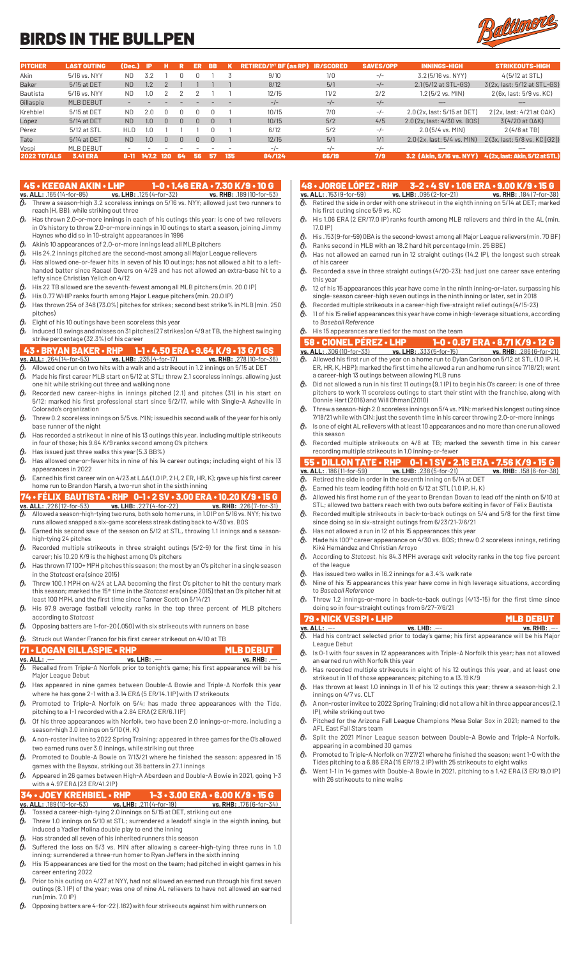## BIRDS IN THE BULLPEN



| <b>PITCHER</b>     | <b>LAST OUTING</b> | (Dec.)         | -IP           |              |              | ER | <b>BB</b> |     | <b>RETIRED/1<sup>st</sup> BF (as RP)</b> | <b>IR/SCORED</b> | <b>SAVES/OPP</b> | <b>INNINGS-HIGH</b>             | <b>STRIKEOUTS-HIGH</b>                                  |
|--------------------|--------------------|----------------|---------------|--------------|--------------|----|-----------|-----|------------------------------------------|------------------|------------------|---------------------------------|---------------------------------------------------------|
| Akin               | 5/16 vs. NYY       | ND.            | 3.2           |              |              |    |           |     | 9/10                                     | 1/0              | $-/-$            | 3.2 (5/16 vs. NYY)              | 4(5/12 at STL)                                          |
| <b>Baker</b>       | 5/15 at DET        | <b>ND</b>      | $\cdot$       |              |              |    |           |     | 8/12                                     | 5/1              | $-/-$            | 2.1(5/12 at STL-GS)             | 3(2x, last: 5/12 at STL-GS)                             |
| Bautista           | 5/16 vs. NYY       | ND.            |               |              |              |    |           |     | 12/15                                    | 11/2             | 2/2              | $1.2$ (5/2 vs. MIN)             | 2(6x, last: 5/9 vs. KC)                                 |
| Gillaspie          | MLB DEBUT          |                |               |              |              |    |           |     | $-/-$                                    | $-/-$            | $-/-$            | ——                              | --                                                      |
| Krehbiel           | 5/15 at DET        | ND.            | 2.0           |              |              |    |           |     | 10/15                                    | 7/0              | $-/-$            | 2.0 (2x, last: 5/15 at DET)     | 2 (2x, last: 4/21 at OAK)                               |
| López              | 5/14 at DET        | <b>ND</b>      | $1.0^{\circ}$ | <sup>n</sup> | <sup>n</sup> |    | $\Box$    |     | 10/15                                    | 5/2              | 4/5              | 2.0 (2x, last: 4/30 vs, BOS)    | 3(4/20 at OAK)                                          |
| Pérez              | 5/12 at STL        | <b>HLD</b>     | .0            |              |              |    |           |     | 6/12                                     | 5/2              | $-/-$            | $2.0(5/4$ vs. MIN)              | $2(4/8$ at TB)                                          |
| Tate               | 5/14 at DET        | N <sub>D</sub> | 1.0           | <sup>n</sup> | $\Box$       |    | $\Box$    |     | 12/15                                    | 5/1              | 1/1              | $2.0(2x$ , last: $5/4$ vs. MIN) | 2(3x, last: 5/8 vs. KC [ G2 ])                          |
| Vespi              | MLB DEBUT          |                |               |              |              |    |           |     | $-/-$                                    | $-1$             | $-/-$            | --                              | --                                                      |
| <b>2022 TOTALS</b> | <b>3.41 ERA</b>    | 8-T            | 147.2         | 120          | -64          | 56 | 437       | 135 | 84/124                                   | 66/19            | 7/9              |                                 | 3.2 (Akin. 5/16 vs. NYY) 4(2x. last: Akin. 5/12 at STL) |

## 45 • KEEGAN AKIN • LHP 1-0 • 1.46 ERA • 7.30 K/9 • 10 G

- **vs. ALL:** .165 (14-for-85) **vs. LHB:** .125 (4-for-32) **vs. RHB:** .189 (10-for-53)  $\partial\!\!\!/_s$  Threw a season-high 3.2 scoreless innings on 5/16 vs. NYY; allowed just two runners to reach (H, BB), while striking out three
- $\theta$ <sup>\*</sup> Has thrown 2.0-or-more innings in each of his outings this year; is one of two relievers in O's history to throw 2.0-or-more innings in 10 outings to start a season, joining Jimmy Haynes who did so in 10-straight appearances in 1996
- $\mathfrak{G}_*$  Akin's 10 appearances of 2.0-or-more innings lead all MLB pitchers
- $\theta$  His 24.2 innings pitched are the second-most among all Major League relievers
- $\theta$  Has allowed one-or-fewer hits in seven of his 10 outings; has not allowed a hit to a lefthanded batter since Racael Devers on 4/29 and has not allowed an extra-base hit to a lefty since Christian Yelich on 4/12
- $\theta$  His 22 TB allowed are the seventh-fewest among all MLB pitchers (min. 20.0 IP)
- His 0.77 WHIP ranks fourth among Major League pitchers (min. 20.0 IP)  $\theta$  Has thrown 254 of 348 (73.0%) pitches for strikes; second best strike% in MLB (min. 250
- pitches)
- $\theta$  Eight of his 10 outings have been scoreless this year
- $\theta$  Induced 10 swings and misses on 31 pitches (27 strikes) on 4/9 at TB, the highest swinging strike percentage (32.3%) of his career

- 43 BRYAN BAKER RHP 1-1 4.50 ERA 9.64 K/9 13 G/1 GS<br>
vs. ALL: .264 (14-for-53) vs. LHB: .235 (4-for-17) vs. RHB: .278 (10-for-36<br>  $\theta$  Allowed one run on two hits with a walk and a strikeout in 1.2 innings on 5/15 **vs. ALL:** .264 (14-for-53) **vs. LHB:** .235 (4-for-17) **vs. RHB:** .278 (10-for-36)  $\partial\!\!\!/_\!\!$  Allowed one run on two hits with a walk and a strikeout in 1.2 innings on 5/15 at DET
- $\theta$  Made his first career MLB start on 5/12 at STL; threw 2.1 scoreless innings, allowing just one hit while striking out three and walking none
- $\theta$  Recorded new career-highs in innings pitched (2.1) and pitches (31) in his start on 5/12; marked his first professional start since 5/2/17, while with Single-A Asheville in Colorado's organization
- $\theta$ <sup>\*</sup> Threw 0.2 scoreless innings on 5/5 vs. MIN; issued his second walk of the year for his only base runner of the night
- $\hat{\theta}_*$  Has recorded a strikeout in nine of his 13 outings this year, including multiple strikeouts in four of those; his 9.64 K/9 ranks second among O's pitchers  $\theta$ » Has issued just three walks this year (5.3 BB%)
- $\theta_{\ell}$  Has allowed one-or-fewer hits in nine of his 14 career outings; including eight of his 13
- appearances in 2022  $\theta$ <sup>\*</sup> Earned his first career win on 4/23 at LAA (1.0 IP, 2 H, 2 ER, HR, K); gave up his first career
- home run to Brandon Marsh, a two-run shot in the sixth inning

## 74 • FÉLIX BAUTISTA • RHP  $0-1 \cdot 2$  SV • 3.00 ERA • 10.20 K/9 • 15 G vs. ALL: .226(12-for-53) vs. LHB: .227(4-for-22) vs. RHB: .226(7-for-31)<br> $\theta$ <sub>2</sub> Allowed a season-high-tying two runs, both solo home runs, in 1.0.12 on **vs. ALL:** .226 (12-for-53) **vs. LHB:** .227 (4-for-22) **vs. RHB:** .226 (7-for-31)

- $\partial\!\!\!/_s\!\!\!/$  Allowed a season-high-tying two runs, both solo home runs, in 1.0 IP on 5/16 vs. NYY; his two runs allowed snapped a six-game scoreless streak dating back to 4/30 vs. BOS
- $\mathcal{O}_s$  Earned his second save of the season on 5/12 at STL, throwing 1.1 innings and a seasonhigh-tying 24 pitches
- $\mathcal{O}_{\!s}\;$  Recorded multiple strikeouts in three straight outings (5/2-9) for the first time in his career; his 10.20 K/9 is the highest among O's pitchers
- $\theta$  Has thrown 17 100+ MPH pitches this season; the most by an O's pitcher in a single season in the *Statcast* era (since 2015)
- $\partial\!\!\!/_s\!\!\!~$  Threw 100.1 MPH on 4/24 at LAA becoming the first O's pitcher to hit the century mark this season; marked the 15th time in the *Statcast* era (since 2015) that an O's pitcher hit at least 100 MPH, and the first time since Tanner Scott on 5/14/21
- $\theta$ » His 97.9 average fastball velocity ranks in the top three percent of MLB pitchers according to *Statcast*
- $\theta$  Opposing batters are 1-for-20 (.050) with six strikeouts with runners on base
- $\mathcal{O}_{\mathcal{P}}$  Struck out Wander Franco for his first career strikeout on 4/10 at TB

- **71 LOGAN GILLASPIE RHP MLB DEBUT**<br> **VS. ALL:** .--<br> **VS. RHB:** .--<br> **VS. Recalled from Triple-A Norfolk prior to tonight's game; his first appearance will be his vs. ALL:** .--- **vs. LHB:** .--- **vs. RHB:** .---  $\partial_{\!\scriptscriptstyle\beta\:\!\!\delta\:\!\,}$  Recalled from Triple-A Norfolk prior to tonight's game; his first appearance will be his Major League Debut
- $\theta$  Has appeared in nine games between Double-A Bowie and Triple-A Norfolk this year where he has gone 2-1 with a 3.14 ERA (5 ER/14.1 IP) with 17 strikeouts
- $\theta$  Promoted to Triple-A Norfolk on 5/4; has made three appearances with the Tide, pitching to a 1-1 recorded with a 2.84 ERA (2 ER/6.1 IP)
- $\theta$ <sup>*s*</sup> Of his three appearances with Norfolk, two have been 2.0 innings-or-more, including a season-high 3.0 innings on 5/10 (H, K)
- $\theta$ » A non-roster invitee to 2022 Spring Training; appeared in three games for the O's allowed two earned runs over 3.0 innings, while striking out three
- $\theta$  Promoted to Double-A Bowie on 7/13/21 where he finished the season; appeared in 15 games with the Baysox, striking out 36 batters in 27.1 innings
- $\theta$  Appeared in 26 games between High-A Aberdeen and Double-A Bowie in 2021, going 1-3 with a 4.97 ERA (23 ER/41.2IP)

## 4 • JOEY KREHBIEL • RHP 1-3 • 3.00 ERA • 6.00 K/9 • 15 G<br>ALL: 189(10-for-53) vs. LHB: .211(4-for-19) vs. RHB: .176(6-for-34) **vs. ALL:** .189 (10-for-53) **vs. LHB:** .211 (4-for-19) **vs. RHB:** .176 (6-for-34)

- $\vartheta$  Tossed a career-high-tying 2.0 innings on 5/15 at DET, striking out one
- $\theta$  Threw 1.0 innings on 5/10 at STL; surrendered a leadoff single in the eighth inning, but induced a Yadier Molina double play to end the inning
- $\theta_{k}$  Has stranded all seven of his inherited runners this season
- $\mathcal{O}_n$  Suffered the loss on 5/3 vs. MIN after allowing a career-high-tying three runs in 1.0 inning; surrendered a three-run homer to Ryan Jeffers in the sixth inning
- $\vartheta$  His 15 appearances are tied for the most on the team; had pitched in eight games in his career entering 2022
- $\theta$ <sup>»</sup> Prior to his outing on 4/27 at NYY, had not allowed an earned run through his first seven outings (8.1 IP) of the year; was one of nine AL relievers to have not allowed an earned run (min. 7.0 IP)
- $\theta$  Opposing batters are 4-for-22 (.182) with four strikeouts against him with runners on

## 48 • JORGE LÓPEZ • RHP 3-2 • 4 SV • 1.06 ERA • 9.00 K/9 • 15 G

- **vs. ALL:**  $.153 (9$ -for-59) **vs. LHB:**  $.095 (2$ -for-21)  $\overline{\theta}$  Retired the side in order with one strikeout in the eighth inning on 5/14 at DET; marked his first outing since 5/9 vs. KC
- $\theta$ <sup>\*</sup> His 1.06 ERA (2 ER/17.0 IP) ranks fourth among MLB relievers and third in the AL (min. 17.0 IP)
- $\theta$  His .153 (9-for-59) OBA is the second-lowest among all Major League relievers (min. 70 BF)
- $\hat{\theta}_s$  Ranks second in MLB with an 18.2 hard hit percentage (min. 25 BBE)
- $\theta$ » Has not allowed an earned run in 12 straight outings (14.2 IP), the longest such streak of his career
- $\theta$  Recorded a save in three straight outings (4/20-23); had just one career save entering this year
- $\theta_*$  12 of his 15 appearances this year have come in the ninth inning-or-later, surpassing his single-season career-high seven outings in the ninth inning or later, set in 2018
- Recorded multiple strikeouts in a career-high five-straight relief outings (4/15-23)
- $\theta_{\ast}$  11 of his 15 relief appearances this year have come in high-leverage situations, according to *Baseball Reference*
- $\theta$ » His 15 appearances are tied for the most on the team
- 58 CIONEL PÉREZ LHP 1-0 0.87 ERA 8.71 K/9 12 G **vs. ALL:** .306 (10-for-33) **vs. LHB:** .333 (5-for-15) **vs. RHB:** .286 (6-for-21)  $\partial\!\!\!/_s\!\!\!/$  Allowed his first run of the year on a home run to Dylan Carlson on 5/12 at STL (1.0 IP, H,
- ER, HR, K, HBP); marked the first time he allowed a run and home run since 7/18/21; went a career-high 13 outings between allowing MLB runs  $\theta$  Did not allowed a run in his first 11 outings (9.1 IP) to begin his O's career; is one of three
- pitchers to work 11 scoreless outings to start their stint with the franchise, along with Donnie Hart (2016) and Will Ohman (2010)
- $\vartheta$  Threw a season-high 2.0 scoreless innings on 5/4 vs. MIN; marked his longest outing since 7/18/21 while with CIN; just the seventh time in his career throwing 2.0-or-more innings
- $\theta_{\ast}$  Is one of eight AL relievers with at least 10 appearances and no more than one run allowed this season
- $\partial\!\!\!/_s\;$  Recorded multiple strikeouts on 4/8 at TB; marked the seventh time in his career recording multiple strikeouts in 1.0 inning-or-fewer

## 55 • DILLON TATE • RHP 0-1 • 1 SV • 2.16 ERA • 7.56 K/9 • 15 G<br>
vs. ALL: .186(11-for-59) vs. LHB: .238(5-for-21) vs. RHB: .158(6-for-38)<br>  $\theta$ , Retired the side in order in the seventh inning on 5/14 at DET **vs. ALL:** .186 (11-for-59) **vs. LHB:** .238 (5-for-21) **vs. RHB:** .158 (6-for-38)

- $\mathcal{O}_{\!s}\!$  Retired the side in order in the seventh inning on 5/14 at DET
- Earned his team leading fifth hold on 5/12 at STL (1.0 IP, H, K)  $\theta$  Allowed his first home run of the year to Brendan Dovan to lead off the ninth on 5/10 at
- STL; allowed two batters reach with two outs before exiting in favor of Félix Bautista  $\theta$  Recorded multiple strikeouts in back-to-back outings on 5/4 and 5/8 for the first time
- since doing so in six-straight outings from 6/23/21-7/6/21  $\theta_{\lambda}$  Has not allowed a run in 12 of his 15 appearances this year
- $\theta$ <sup>*s*</sup> Made his 100<sup>th</sup> career appearance on 4/30 vs. BOS; threw 0.2 scoreless innings, retiring Kiké Hernández and Christian Arroyo
- According to *Statcast*, his 84.3 MPH average exit velocity ranks in the top five percent of the league
- $\mathbf{\Theta}_{\!s}\!$  Has issued two walks in 16.2 innings for a 3.4% walk rate
- $\partial\!\!\!/_s\!\!\!>$  Nine of his 15 appearances this year have come in high leverage situations, according to *Baseball Reference*
- $\mathcal{O}_{\mathcal{P}}$  Threw 1.2 innings-or-more in back-to-back outings (4/13-15) for the first time since doing so in four-straight outings from 6/27-7/6/21

| 79 • NICK VESPI • LHP |                                                                                                          | <b>MLB DEBUT A</b> |
|-----------------------|----------------------------------------------------------------------------------------------------------|--------------------|
| vs. ALL: .—-          | $vs.$ LHB: $--$                                                                                          | $vs.$ RHB: $--$    |
|                       | $\partial_{\!s}$ Had his contract selected prior to today's game; his first appearance will be his Major |                    |

- League Debut  $\theta_{k}$  Is 0-1 with four saves in 12 appearances with Triple-A Norfolk this year; has not allowed
- an earned run with Norfolk this year  $\theta$ » Has recorded multiple strikeouts in eight of his 12 outings this year, and at least one
- strikeout in 11 of those appearances; pitching to a 13.19 K/9  $\theta$  Has thrown at least 1.0 innings in 11 of his 12 outings this year; threw a season-high 2.1
- innings on 4/7 vs. CLT  $\theta$  Anon-roster invitee to 2022 Spring Training; did not allow a hit in three appearances (2.1
- IP), while striking out two  $\theta$  Pitched for the Arizona Fall League Champions Mesa Solar Sox in 2021; named to the
- AFL East Fall Stars team
- Split the 2021 Minor League season between Double-A Bowie and Triple-A Norfolk, appearing in a combined 30 games  $\theta$  Promoted to Triple-A Norfolk on 7/27/21 where he finished the season; went 1-0 with the
- Tides pitching to a 6.86 ERA (15 ER/19.2 IP) with 25 strikeouts to eight walks
- $\mathcal{O}_{\!s}\;$  Went 1-1 in 14 games with Double-A Bowie in 2021, pitching to a 1.42 ERA (3 ER/19.0 IP) with 26 strikeouts to nine walks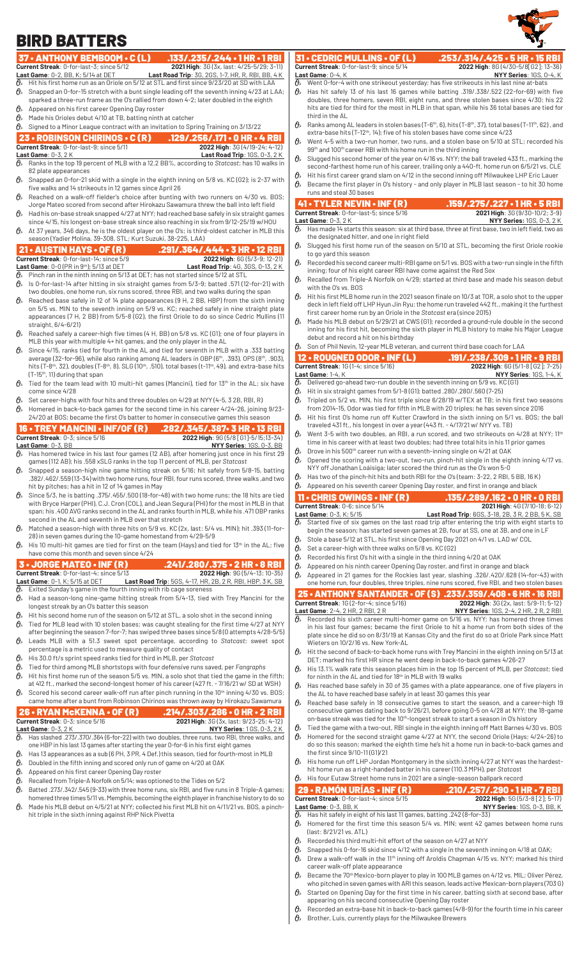## BIRD BATTERS

## 37 • ANTHONY BEMBOOM • C (L) .133/.235/.244 • 1 HR • 1 RBI<br>Current Streak: 0-for-last-3; since 5/12 2021 High: 36 (3x, last: 4/25-5/29; 3-11)

- 
- **Current Streak:** 0-for-last-3; since 5/12<br> **Last Game:** 0-2, BB, K; 5/14 at DET<br> **Last Road Trip:** 3G, 2GS, 1-7, HR, R, RBI, BB, 4 K<br> **A** Hit his first home run as an Oriole on 5/12 at STL and first since 9/23/20 at SN wi **Last Game**: 0-2, BB, K; 5/14 at DET **Last Road Trip**: 3G, 2GS, 1-7, HR, R, RBI, BB, 4 K  $\partial\!\!\!/_\!\!$  Hit his first home run as an Oriole on 5/12 at STL and first since 9/23/20 at SD with LAA
- $\theta$  Snapped an 0-for-15 stretch with a bunt single leading off the seventh inning 4/23 at LAA;
- sparked a three-run frame as the O's rallied from down 4-2; later doubled in the eighth
- $\theta$ » Appeared on his first career Opening Day roster  $\theta$  Made his Orioles debut 4/10 at TB, batting ninth at catcher
- $\theta$  Signed to a Minor League contract with an invitation to Spring Training on 3/13/22

## **23 • ROBINSON CHIRINOS • C (R) .129/.256/.171 • 0 HR • 4 RBI**<br>Current Streak: 0-for-last-9; since 5/11 **129/.256/.171 • 2022 High:** 3G (4/19-24; 4-12) **Current Streak**: 0-for-last-9; since 5/11 **Last Game**: 0-3, 2 K **Last Road Trip**: 1GS, 0-3, 2 K

- $\vartheta$  Ranks in the top 19 percent of MLB with a 12.2 BB%, according to *Statcast;* has 10 walks in 82 plate appearances
- $\theta_{\rm k}$  Snapped an 0-for-21 skid with a single in the eighth inning on 5/8 vs. KC (G2); is 2-37 with five walks and 14 strikeouts in 12 games since April 26
- $\mathcal{O}_n$  Reached on a walk-off fielder's choice after bunting with two runners on 4/30 vs. BOS; Jorge Mateo scored from second after Hirokazu Sawamura threw the ball into left field
- $\theta$ » Had his on-base streak snapped 4/27 at NYY; had reached base safely in six straight games since 4/15, his longest on-base streak since also reaching in six from 9/12-25/19 w/HOU
- $\theta$  At 37 years, 346 days, he is the oldest player on the O's; is third-oldest catcher in MLB this season (Yadier Molina, 39-308, STL; Kurt Suzuki, 38-225, LAA)

## 21 • AUSTIN HAYS • OF (R) .291/.364/.444 • 3 HR • 12 RBI<br>Current Streak: 0-for-last-14; since 5/9 .291/.364/.444 · 3 High: 66 (5/3-9; 12-21)

**Current Streak:** 0-for-last-14; since 5/9 **2022 High:** 6G (5/3-9; 12-21)<br> **Last Game:** 0-0 (PR in 9<sup>th</sup>); 5/13 at DET **Last Road Trip:** 4G, 3GS, 0-13, 2 K

- **Last Game**:  $0-0$  (PR in 9<sup>th</sup>); 5/13 at DET  $\theta$ . Pinch ran in the ninth inning on  $5/1$  Pinch ran in the ninth inning on 5/13 at DET; has not started since 5/12 at STL  $\theta$ <sup>\*</sup> Is 0-for-last-14 after hitting in six straight games from 5/3-9; batted .571 (12-for-21) with
- two doubles, one home run, six runs scored, three RBI, and two walks during the span  $\hat{\theta}_s$  Reached base safely in 12 of 14 plate appearances (9 H, 2 BB, HBP) from the sixth inning
- on 5/5 vs. MIN to the seventh inning on 5/9 vs. KC; reached safely in nine straight plate appearances (7 H, 2 BB) from 5/5-8 (G2), the first Oriole to do so since Cedric Mullins (11 straight, 6/4-6/21)
- $\vartheta$  Reached safely a career-high five times (4 H, BB) on 5/8 vs. KC (G1); one of four players in MLB this year with multiple 4+ hit games, and the only player in the AL
- $\hat{O}_8$  Since 4/15, ranks tied for fourth in the AL and tied for seventh in MLB with a .333 batting average (32-for-96), while also ranking among AL leaders in OBP (6th, .393), OPS (8th, .903), hits (T-8th, 32), doubles (T-8th, 8), SLG (10th, .510), total bases (t-11th, 49), and extra-base hits (T-15th, 11) during that span
- $\mathcal{O}_n$  Tied for the team lead with 10 multi-hit games (Mancini), tied for 13<sup>th</sup> in the AL; six have come since 4/28
- $\hat{\theta}_s$  Set career-highs with four hits and three doubles on 4/29 at NYY (4-5, 3 2B, RBI, R)  $\theta$  Homered in back-to-back games for the second time in his career 4/24-26, joining 9/23-
- 24/20 at BOS; became the first O's batter to homer in consecutive games this season **16 • TREY MANCINI • INF/OF (R) .282/.345/.387• 3 HR • 13 RBI**<br>Current Streak: 0-3; since 5/16<br>2022 High: 96 (5/8 [61]-5/15;13-34)
- **Current Streak**: 0-3; since 5/16 **2022 High**: 9G (5/8 [G1]-5/15;13-34) **Last Game**: 0-3, BB<br> **A** Has homered twice in his last four games (12 AB), after homering just once in his first 29 Has homered twice in his last four games (12 AB), after homering just once in his first 29 games (112 AB); his .558 xSLG ranks in the top 11 percent of MLB, per *Statcast*
- $\mathcal{O}_{\!\scriptscriptstyle\beta\!\scriptscriptstyle\beta}$  Snapped a season-high nine game hitting streak on 5/16; hit safely from 5/8-15, batting .382/.462/.559 (13-34) with two home runs, four RBI, four runs scored, three walks ,and two hit by pitches; has a hit in 12 of 14 games in May
- $\theta$  Since 5/3, he is batting .375/.455/.500 (18-for-48) with two home runs; the 18 hits are tied with Bryce Harper (PHI), C.J. Cron (COL), and Jean Segura (PHI) for the most in MLB in that span; his .400 AVG ranks second in the AL and ranks fourth in MLB, while his .471 OBP ranks second in the AL and seventh in MLB over that stretch
- $\theta_{\rm k}$  Matched a season-high with three hits on 5/9 vs. KC (2x, last: 5/4 vs. MIN); hit .393 (11-for-28) in seven games during the 10-game homestand from 4/29-5/9
- $\theta$ <sup>\*</sup> His 10 multi-hit games are tied for first on the team (Hays) and tied for 13<sup>th</sup> in the AL; five have come this month and seven since 4/24

| $3 \cdot$ JORGE MATEO $\cdot$ INF (R)            | $.241/.280/.375 \cdot 2$ HR $\cdot$ 8 RBI        |
|--------------------------------------------------|--------------------------------------------------|
| <b>Current Streak</b> : 0-for-last-4: since 5/13 | <b>2022 High: <math>9G(5/4-13; 10-35)</math></b> |

## **Last Game**: 0-1, K; 5/15 at DET **Last Road Trip**: 5GS, 4-17, HR, 2B, 2 R, RBI, HBP, 3 K, SB

- $\overline{\theta}$ » Exited Sunday's game in the fourth inning with rib cage soreness  $\theta_{k}$  Had a season-long nine-game hitting streak from 5/4-13, tied with Trey Mancini for the longest streak by an O's batter this season
- Hit his second home run of the season on 5/12 at STL, a solo shot in the second inning  $\theta$  Tied for MLB lead with 10 stolen bases; was caught stealing for the first time 4/27 at NYY
- after beginning the season 7-for-7; has swiped three bases since 5/8 (0 attempts 4/28-5/5) Leads MLB with a 51.3 sweet spot percentage, according to *Statcast*; sweet spot
- percentage is a metric used to measure quality of contact His 30.0 ft/s sprint speed ranks tied for third in MLB, per *Statcast*
- Tied for third among MLB shortstops with four defensive runs saved, per *Fangraphs*
- $\theta$  Hit his first home run of the season 5/5 vs. MIN, a solo shot that tied the game in the fifth;
- at 412 ft., marked the second-longest homer of his career (427 ft. 7/16/21 w/ SD at WSH)  $\theta$  Scored his second career walk-off run after pinch running in the 10<sup>th</sup> inning 4/30 vs. BOS;

## came home after a bunt from Robinson Chirinos was thrown away by Hirokazu Sawamura **26 • RYAN McKENNA • OF (R) .214/.303/.286 • 0 HR • 2 RBI**<br>Current Streak: 0-3; since 5/16 **.2021** High: 36 (3x, last: 9/23-25; 4-12 **2021 High:** 3G (3x, last: 9/23-25; 4-12)

- **Last Game**: 0-3, 2 K **NYY Series**: 1 GS, 0-3, 2 K  $\partial_{\!s}\;$  Has slashed .273/.370/.364 (6-for-22) with two doubles, three runs, two RBI, three walks, and one HBP in his last 13 games after starting the year 0-for-6 in his first eight games
- $\theta$  Has 13 appearances as a sub (6 PH, 3 PR, 4 Def.) this season, tied for fourth-most in MLB
- $\mathcal{O}_{\mathcal{P}}$  Doubled in the fifth inning and scored only run of game on 4/20 at OAK
- $\mathfrak{G}_*$  Appeared on his first career Opening Day roster
- $\theta$  Recalled from Triple-A Norfolk on 5/14; was optioned to the Tides on 5/2
- $\hat{\theta}_s$  Batted .273/.342/.545 (9-33) with three home runs, six RBI, and five runs in 8 Triple-A games; homered three times 5/11 vs. Memphis, becoming the eighth player in franchise history to do so
- $\theta_{\text{\tiny M}}$  Made his MLB debut on 4/5/21 at NYY; collected his first MLB hit on 4/11/21 vs. BOS, a pinchhit triple in the sixth inning against RHP Nick Pivetta

# **Current Streak**: 0-for-last-9; since 5/14<br>**Last Game**: 0-4, K<br> $\overline{Q}_a$  Went 0-for-4 with one strikeout ves

- Went 0-for-4 with one strikeout yesterday; has five strikeouts in his last nine at-bats  $\theta$ <sup>\*</sup> Has hit safely 13 of his last 16 games while batting .319/.338/.522 (22-for-69) with five doubles, three homers, seven RBI, eight runs, and three stolen bases since 4/30; his 22 hits are tied for third for the most in MLB in that span, while his 36 total bases are tied for
- third in the AL  $\theta$  Ranks among AL leaders in stolen bases (T-6<sup>th</sup>, 6), hits (T-8<sup>th</sup>, 37), total bases (T-11<sup>th</sup>, 62), and extra-base hits (T-12<sup>th</sup>, 14); five of his stolen bases have come since  $4/23$
- $\hat{\theta}_k$  Went 4-5 with a two-run homer, two runs, and a stolen base on 5/10 at STL; recorded his 99th and 100th career RBI with his home run in the third inning
- $\vartheta_{\rm s}$  Slugged his second homer of the year on 4/16 vs. NYY; the ball traveled 433 ft., marking the second-farthest home run of his career, trailing only a 440-ft. home run on 6/5/21 vs. CLE
- Hit his first career grand slam on 4/12 in the second inning off Milwaukee LHP Eric Lauer  $\theta$ <sup>s</sup> Became the first player in O's history - and only player in MLB last season - to hit 30 home runs and steal 30 bases

## **Current Streak**: 0-for-last-5; since 5/16

- 41 TYLER NEVIN INF (R) .159/.275/.227 1 HR 5 RBI<br>
Current Streak: 0-for-last-5; since 5/16 2021 High: 36 (9/30-10/2; 3-9)<br>
Last Game: 0-3, 2 K<br>  $\theta$ <sub>b</sub> Has made 14 starts this season: six at third boos, three of f **Last Game**: 0-3, 2 K **NYY Series:** 1GS, 0-3, 2 K Has made 14 starts this season: six at third base, three at first base, two in left field, two as
- the designated hitter, and one in right field  $\theta$  Slugged his first home run of the season on 5/10 at STL, becoming the first Oriole rookie to go yard this season
- $\hat{\theta}_*$  Recorded his second career multi-RBI game on 5/1 vs. BOS with a two-run single in the fifth inning; four of his eight career RBI have come against the Red Sox
- $\theta$ » Recalled from Triple-A Norfolk on 4/29; started at third base and made his season debut with the O's vs. BOS
- Hit his first MLB home run in the 2021 season finale on 10/3 at TOR, a solo shot to the upper deck in left field off LHP Hyun Jin Ryu; the home run traveled 442 ft., making it the furthest first career home run by an Oriole in the *Statcast* era (since 2015)
- $\theta$ <sup>»</sup> Made his MLB debut on 5/29/21 at CWS (G1); recorded a ground-rule double in the second inning for his first hit, becoming the sixth player in MLB history to make his Major League debut and record a hit on his birthday
- $\theta$  Son of Phil Nevin, 12-year MLB veteran, and current third base coach for LAA

|              | $12 \cdot$ ROUGNED ODOR $\cdot$ INF (L)                                                                                                                                                          | $.191/.238/.309 \cdot 1$ HR $\cdot$ 9 RBI |
|--------------|--------------------------------------------------------------------------------------------------------------------------------------------------------------------------------------------------|-------------------------------------------|
|              | Current Streak: 1G (1-4; since 5/16)                                                                                                                                                             | 2022 High: 6G (5/1-8 [G2]; 7-25)          |
|              | Last Game: $1-4$ , $K$                                                                                                                                                                           | NYY Series: 1GS, 1-4, K                   |
| 0.           | Delivered go-ahead two-run double in the seventh inning on 5/9 vs. KC (G1)                                                                                                                       |                                           |
| 0,           | Hit in six straight games from 5/1-8 (G1); batted .280/.280/.560 (7-25)                                                                                                                          |                                           |
| θ≽           | Tripled on 5/2 vs. MIN, his first triple since 6/28/19 w/TEX at TB; in his first two seasons<br>from 2014-15, Odor was tied for fifth in MLB with 20 triples; he has seven since 2016            |                                           |
| $\theta_{s}$ | Hit his first O's home run off Kutter Crawford in the sixth inning on 5/1 vs. BOS; the ball<br>traveled 431 ft., his longest in over a year $(443$ ft. $-4/17/21$ w/ NYY vs. TB)                 |                                           |
| $\theta_{s}$ | Went 3-5 with two doubles, an RBI, a run scored, and two strikeouts on 4/28 at NYY; 11 <sup>th</sup><br>time in his career with at least two doubles; had three total hits in his 11 prior games |                                           |
| 0,           | Drove in his 500 <sup>th</sup> career run with a seventh-inning single on 4/21 at OAK                                                                                                            |                                           |
| 0,           | Opened the scoring with a two-out, two-run, pinch-hit single in the eighth inning 4/17 vs.<br>NYY off Jonathan Loáisiga; later scored the third run as the O's won 5-0                           |                                           |
| θ.           | Has two of the pinch-hit hits and both RBI for the O's (team: 3-22, 2 RBI, 5 BB, 16 K)                                                                                                           |                                           |
| n.           | A considered the late in consideration of Alexandre Discovered consideration of the consideration of the state                                                                                   |                                           |

Appeared on his seventh career Opening Day roster, and first in orange and black

|     | $11 \cdot$ CHRIS OWINGS $\cdot$ INF (R)               | . 135/.289/.162 • 0 HR • 0 RBI                                                                                  |
|-----|-------------------------------------------------------|-----------------------------------------------------------------------------------------------------------------|
|     | Current Streak: 0-6: since 5/14                       | 2021 High: 4G (7/10-18; 6-12)                                                                                   |
|     | <b>Last Game</b> : 0-3, K; 5/15                       | <b>Last Road Trip:</b> 6GS, 3-18, 2B, 3R, 2BB, 5K, SB                                                           |
|     |                                                       | $\partial_{\!s}\;$ Started five of six games on the last road trip after entering the trip with eight starts to |
|     |                                                       | begin the season; has started seven games at 2B, four at SS, one at 3B, and one in LF                           |
| ሉ ∘ |                                                       | Stole a base 5/12 at STL, his first since Opening Day 2021 on 4/1 vs. LAD w/ COL                                |
| A.  | Set a career-high with three walks on 5/8 vs. KC (G2) |                                                                                                                 |

- $\theta_{\rm k}$  Recorded his first O's hit with a single in the third inning 4/20 at OAK
- $\mathcal{O}_s$  Appeared on his ninth career Opening Day roster, and first in orange and black  $\mathcal{O}_s$  Appeared in 21 games for the Rockies last vear, slashing 326/.420/.628 (14-
- Appeared in 21 games for the Rockies last year, slashing .326/.420/.628 (14-for-43) with one home run, four doubles, three triples, nine runs scored, five RBI, and two stolen bases

### **25 • ANTHONY SANTANDER • OF (S) .233/.359/.408 • 6 HR • 16 RBI**<br>Current Streak: 16 (2-for-4; since 5/16)<br>Last Game: 2-4, 2 HR, 2 RBI, 2 R<br>Os Recorded his sixth career multi-bomer come on FMO Stries: 16S, 2-4, 2 HR, 2 R, **Current Streak**: 1G (2-for-4; since 5/16) **Last Game**: 2-4, 2 HR, 2 RBI, 2 R **NYY Series**: 1GS, 2-4, 2 HR, 2 R, 2 RBI  $\mathcal{O}_{\!\!s\!r}$  Recorded his sixth career multi-homer game on 5/16 vs. NYY; has homered three times

- in his last four games; became the first Oriole to hit a home run from both sides of the plate since he did so on 8/31/19 at Kansas City and the first do so at Oriole Park since Matt Wieters on 10/2/16 vs. New York-AL
- $\theta$  Hit the second of back-to-back home runs with Trey Mancini in the eighth inning on 5/13 at DET; marked his first HR since he went deep in back-to-back games 4/26-27
- $\partial\!\!\!/_s$  His 13.1% walk rate this season places him in the top 15 percent of MLB, per *Statcast*; tied for ninth in the AL and tied for 18th in MLB with 19 walks
- Has reached base safely in 30 of 35 games with a plate appearance, one of five players in the AL to have reached base safely in at least 30 games this year
- $\theta$ <sup>*s*</sup> Reached base safely in 18 consecutive games to start the season, and a career-high 19 consecutive games dating back to 9/26/21, before going 0-5 on 4/28 at NYY; the 18-game on-base streak was tied for the 10<sup>th</sup>-longest streak to start a season in O's history
- Tied the game with a two-out, RBI single in the eighth inning off Matt Barnes 4/30 vs. BOS  $\partial_{\!s}\;$  Homered for the second straight game 4/27 at NYY, the second Oriole (Hays; 4/24-26) to do so this season; marked the eighth time he's hit a home run in back-to-back games and
- the first since 9/10-11 (G1)/21  $\partial\!\!\!/_*$  His home run off LHP Jordan Montgomery in the sixth inning 4/27 at NYY was the hardest-
- hit home run as a right-handed batter in his career (110.3 MPH), per *Statcast* His four Eutaw Street home runs in 2021 are a single-season ballpark record

## 210/.257/.290 • 1 HR • 7 RBI .210 • 1 AMÓN URÍAS • INF (R) .210/.257/.290 • 1 HR • 7 RBI .<br>2022 High: 56 (5/3-8 [2]; 5-17) .2022 High: 56 (5/3-8 [2]; 5-17) **Current Streak:** 0-for-last-4; since 5/15<br>**Last Game**: 0-3, BB, K<br> $\overline{O_8}$  Has hit safely in eight of his last 11 d **Last Game**: 0-3, BB, K **NYY Series**: 1GS, 0-3, BB, K

- Has hit safely in eight of his last 11 games, batting .242 (8-for-33)  $\theta$ <sup>\*</sup> Homered for the first time this season 5/4 vs. MIN; went 42 games between home runs
- (last: 8/21/21 vs. ATL)  $\theta$  Recorded his third multi-hit effort of the season on 4/27 at NYY
- $\mathcal{O}_{s}$  Snapped his 0-for-16 skid since 4/12 with a single in the seventh inning on 4/18 at OAK;
- $\theta$  Drew a walk-off walk in the 11<sup>th</sup> inning off Aroldis Chapman 4/15 vs. NYY; marked his third career walk-off plate appearance
- $\theta$  Became the 70<sup>th</sup> Mexico-born player to play in 100 MLB games on 4/12 vs. MIL; Oliver Pérez, who pitched in seven games with ARI this season, leads active Mexican-born players (703 G)
- $\hat{\theta}_s$  Started on Opening Day for the first time in his career, batting sixth at second base, after appearing on his second consecutive Opening Day roster
- $\theta$  Recorded an extra-base hit in back-to-back games (4/8-9) for the fourth time in his career
- $\mathcal{O}_{\mathcal{P}}$  Brother, Luis, currently plays for the Milwaukee Brewers

31 • CEDRIC MULLINS • OF (L) .253/.314/.425 • 5 HR • 15 RBI **Last Game**: 0-4, K **NYY Series**: 1GS, 0-4, K

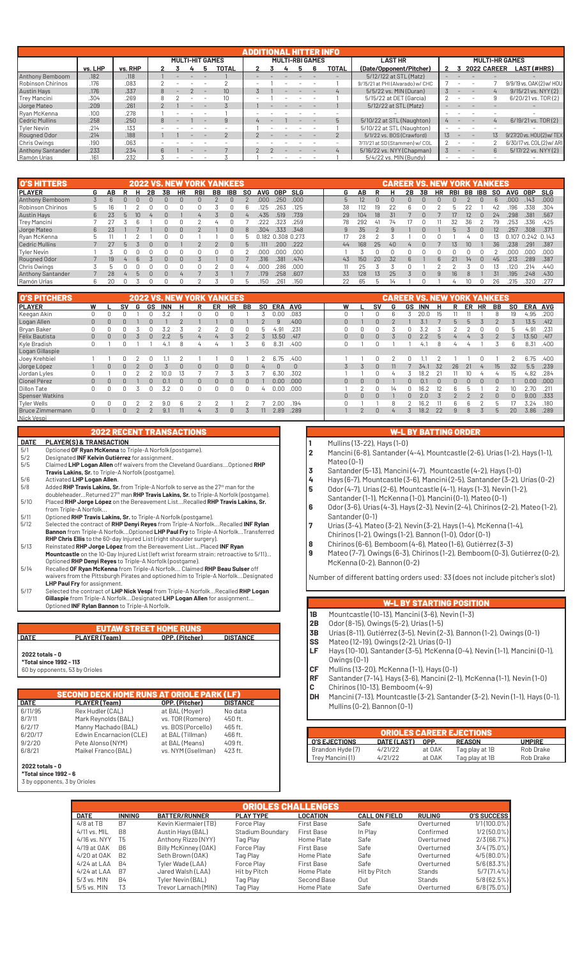|                          | ADDITIONAL HITTER INFO |         |  |  |  |  |                        |                        |  |  |  |  |       |                                  |                       |                          |                          |         |                           |  |
|--------------------------|------------------------|---------|--|--|--|--|------------------------|------------------------|--|--|--|--|-------|----------------------------------|-----------------------|--------------------------|--------------------------|---------|---------------------------|--|
|                          |                        |         |  |  |  |  | <b>MULTI-HIT GAMES</b> | <b>MULTI-RBI GAMES</b> |  |  |  |  |       | <b>LAST HR</b>                   | <b>MULTI-HR GAMES</b> |                          |                          |         |                           |  |
|                          | vs. LHP                | vs. RHP |  |  |  |  | <b>TOTAL</b>           |                        |  |  |  |  | TOTAL | (Date/Opponent/Pitcher)          |                       |                          | <b>2022 CAREER</b>       |         | <b>LAST (#HRS)</b>        |  |
| Anthony Bemboom          | .182                   | .118    |  |  |  |  |                        |                        |  |  |  |  |       | 5/12/122 at STL (Matz)           |                       |                          |                          |         |                           |  |
| Robinson Chirinos        | .176                   | .083    |  |  |  |  |                        |                        |  |  |  |  |       | 9/15/21 at PHI (Alvarado) w/ CHC |                       |                          |                          |         | 9/9/19 vs. 0AK(2) w/ HOU  |  |
| <b>Austin Hays</b>       | .176                   | .337    |  |  |  |  | 10 <sup>1</sup>        |                        |  |  |  |  |       | 5/5/22 vs. MIN (Duran)           |                       |                          |                          |         | 9/15/21 vs. NYY (2)       |  |
| <b>Trey Mancini</b>      | .304                   | .269    |  |  |  |  |                        |                        |  |  |  |  |       | 5/15/22 at DET (García)          |                       |                          |                          |         | 6/20/21 vs. TOR(2)        |  |
| Jorge Mateo              | .209                   | .261    |  |  |  |  |                        |                        |  |  |  |  |       | 5/12/22 at STL (Matz)            |                       |                          |                          |         |                           |  |
| Ryan McKenna             | .100                   | .278    |  |  |  |  |                        |                        |  |  |  |  |       |                                  |                       |                          |                          |         |                           |  |
| Cedric Mullins           | .258                   | .250    |  |  |  |  | $\mathbf{q}$           |                        |  |  |  |  |       | 5/10/22 at STL (Naughton)        |                       |                          |                          |         | 6/19/21 vs. TOR(2)        |  |
| Tyler Nevin              | .214                   | .133    |  |  |  |  |                        |                        |  |  |  |  |       | 5/10/22 at STL (Naughton)        |                       |                          |                          |         |                           |  |
| Rougned Odor             | .214                   | .188    |  |  |  |  |                        |                        |  |  |  |  |       | 5/1/22 vs. BOS (Crawford)        | $13 -$                | $\overline{\phantom{m}}$ | $\overline{\phantom{0}}$ | $13 \,$ | 9/27/20 vs. HOU(2) w/ TEX |  |
| Chris Owings             | .190                   | .063    |  |  |  |  |                        |                        |  |  |  |  |       | 7/11/21 at SD (Stammen) w/ COL   |                       |                          |                          |         | 6/30/17 vs. COL(2) w/ ARI |  |
| <b>Anthony Santander</b> | .233                   | .234    |  |  |  |  |                        |                        |  |  |  |  |       | 5/16/22 vs. NYY (Chapman)        |                       |                          |                          | 6       | 5/17/22 vs. NYY (2)       |  |
| Ramón Urías              | 161                    | .232    |  |  |  |  |                        |                        |  |  |  |  |       | 5/4/22 vs. MIN (Bundy)           |                       |                          |                          |         |                           |  |

| <b>O'S HITTERS</b>       |                |    |              |    |    |    | <b>2022 VS. NEW YORK</b> | <b>YANKEES</b> |            |     |      |                   |      |    |     |    | CAREER VS. NEW YORK YANKEES |    |    |    |            |        |           |                   |      |       |
|--------------------------|----------------|----|--------------|----|----|----|--------------------------|----------------|------------|-----|------|-------------------|------|----|-----|----|-----------------------------|----|----|----|------------|--------|-----------|-------------------|------|-------|
| <b>IPLAYER</b>           | G              | ΑВ |              | 2B | 3B | HR | <b>RBI</b>               | BB             | <b>IBB</b> | SO. | AVG  | 0BP               | SLG  | G  | АΒ  |    |                             | 2В | 3B | HR | <b>RBI</b> | BB IBB | <b>SO</b> | AVG               | 0BP  | SLG   |
| Anthony Bemboom          | $\mathfrak{L}$ |    |              |    |    |    |                          |                |            |     | .000 | .250              | .000 |    | 12  |    |                             |    |    |    |            |        |           | nnn               | 143  | .000. |
| Robinson Chirinos        |                |    |              |    |    |    |                          |                |            |     | 125  | 263               | .125 | 38 | 112 |    | 22                          |    |    |    |            |        | 42        | 96                | .338 | .304  |
| <b>Austin Hays</b>       | 6              | 23 | 10           |    |    |    |                          |                |            |     | .435 | .519              | .739 | 29 | 104 | 18 | 31                          |    |    |    |            | 12     | 24        | .298              | .381 | .567  |
| Trey Mancini             |                |    |              |    |    |    |                          |                |            |     | .222 | 323               | .259 | 78 | 292 |    |                             |    |    |    |            | 36     |           | 253               | .336 | .425  |
| Jorge Mateo              | 6              |    |              |    |    | 0  |                          |                |            |     | .304 | .333              | .348 | 9  | 35  |    |                             |    |    |    | h          |        | 12        | .257              | .308 | .371  |
| Ryan McKenna             |                |    |              |    |    |    |                          |                |            |     |      | 0.182 0.308 0.273 |      |    | 28  |    |                             |    |    |    |            |        |           | 0.107 0.242 0.143 |      |       |
| Cedric Mullins           |                |    |              |    |    |    |                          |                |            |     |      | 200               | .222 | 44 | 168 | 25 | 40                          |    |    |    | 13         |        | 36.       | .238              | 291  | .387  |
| Tyler Nevin              |                |    |              |    |    |    |                          |                |            |     | .ooc | ooo               | .000 |    |     |    |                             |    |    |    |            |        |           | nnr               | .000 | .000. |
| Rougned Odor             |                | 19 | 6            |    |    |    |                          |                |            |     | .316 | .381              | .474 | 43 | 150 | 20 | 32                          |    |    |    |            | 14     | 45        | .213              | .289 | .387  |
| Chris Owings             |                |    |              |    |    |    |                          |                |            |     | ooc  | 286               | .000 |    | 25  |    |                             |    |    |    |            |        |           | .120              | 214  | .440  |
| <b>Anthony Santander</b> |                | 28 | $\mathsf{h}$ |    |    |    |                          |                |            |     | 179  | 258               | .607 | 33 | 128 | 13 | 25                          |    |    |    | 16         |        | 31        | 195               | .248 | .430  |
| Ramón Urías              | 6              | 20 |              |    |    |    |                          |                |            | h   | .150 | .261              | .150 | 22 | 65  |    |                             |    |    |    |            |        | 26        | .215              | .320 | .277  |

| <b>O'S PITCHERS</b>     |                |          |    |   |    | <b>2022 VS. NEW YORK YANKEES</b> |          |   |          |           |          |                |            |            |          |          |              |   |    | CAREER VS. NEW YORK YANKEES |     |              |    |                |                  |           |         |       |
|-------------------------|----------------|----------|----|---|----|----------------------------------|----------|---|----------|-----------|----------|----------------|------------|------------|----------|----------|--------------|---|----|-----------------------------|-----|--------------|----|----------------|------------------|-----------|---------|-------|
| <b>PLAYER</b>           | W              |          | sv | G | GS | <b>INN</b>                       | н        | R | ER       | <b>HR</b> | BB       | SO.            | <b>ERA</b> | <b>AVG</b> | W        |          | SV           | G | GS | <b>INN</b>                  | н   | R            | ER | HR             | BB               | <b>SO</b> | ERA AVG |       |
| Keegan Akin             | 0              |          |    |   |    |                                  |          |   |          |           |          |                | 0.00       | .083       |          |          |              |   |    |                             | lh. |              |    |                |                  | 19        | 4.95    | .200  |
| Logan Allen             | $\overline{0}$ | $\Omega$ |    |   |    |                                  |          |   |          |           |          |                | a          | .400       | $\Omega$ |          | $\cap$       |   |    |                             |     | $\mathsf{h}$ |    |                |                  |           | 13.5    | .412  |
| Bryan Baker             | 0              |          |    |   |    |                                  |          |   |          |           |          |                | . 91       | .231       |          |          |              |   |    |                             |     |              |    |                |                  |           | 4.9     | .231  |
| Félix Bautista          | $\overline{0}$ | $\Omega$ |    |   |    | 2.2                              | h        |   |          |           |          |                | 13.50      | .417       | $\Omega$ | $\Omega$ |              |   |    |                             |     |              |    |                |                  |           | 3.50    | .417  |
| Kyle Bradish            | 0              |          |    |   |    | 4.1                              |          |   |          |           |          |                | 8.31       | .400       |          |          |              |   |    | 4.                          |     |              |    |                |                  | b         | 8.31    | .400  |
| Logan Gillaspie         |                |          |    |   |    |                                  |          |   |          |           |          |                |            |            |          |          |              |   |    |                             |     |              |    |                |                  |           |         |       |
| Joey Krehbiel           |                |          |    |   |    |                                  |          |   |          |           |          |                | 6.75       | .400       |          |          |              |   |    |                             |     |              |    |                |                  |           | 6.75    | .400  |
| Jorge López             |                | $\Omega$ |    |   | n  |                                  | $\Omega$ | 0 | $\Omega$ | $\Omega$  | $\Omega$ | $\overline{a}$ | $\Omega$   | $\Omega$   |          |          | <sup>n</sup> |   |    | 34.1                        | 32  | 26           | 21 | $\overline{4}$ | 15 <sup>15</sup> | 32        | 5.5     | .239  |
| Jordan Lyles            | 0              |          |    |   |    |                                  | 13       |   |          |           |          |                | 6.30       | .302       |          |          |              |   |    | 18.                         |     |              |    |                | $\overline{u}$   | 1b.       | 4.82    | .284  |
| Cionel Pérez            | $\overline{0}$ | $\Omega$ |    |   |    | 0.1                              | $\Omega$ | n | $\Omega$ | U         | $\Omega$ |                | 0.00       | .000       | $\Omega$ | n.       | n.           |   |    | $\Omega$ .                  |     | U            |    | $\cap$         | $\cap$           |           | 0.00    | .000. |
| <b>Dillon Tate</b>      | 0              |          |    |   | 0  | 3.2                              | 0        |   | 0        |           | 0        | 4              | 0.00       | .000       |          |          |              |   |    | 16.                         |     | h            |    |                |                  | 10        | 2.70    | .211  |
| Spenser Watkins         |                |          |    |   |    |                                  |          |   |          |           |          |                |            |            | $\Omega$ | U        |              |   |    | 2.0                         |     |              |    |                |                  |           | 9.00    | .333  |
| <b>Tyler Wells</b>      | 0              |          |    |   |    | 9.0                              |          |   |          |           |          |                | 2.00       | .194       |          |          |              |   |    | 16                          |     | h            |    |                |                  |           | 3.24    | .180  |
| <b>Bruce Zimmermann</b> | $\Omega$       |          |    |   |    | 9.                               |          |   |          |           |          |                | 2.89       | .289       |          |          | $\Omega$     |   |    | 18.2                        | 22  | 9            | 8  |                | b                | 20        | 3.86    | .289  |
| Nick Vespi              |                |          |    |   |    |                                  |          |   |          |           |          |                |            |            |          |          |              |   |    |                             |     |              |    |                |                  |           |         |       |

|             | <b>2022 RECENT TRANSACTIONS</b>                                                                                                                                                                                                  |
|-------------|----------------------------------------------------------------------------------------------------------------------------------------------------------------------------------------------------------------------------------|
| <b>DATE</b> | <b>PLAYER(S) &amp; TRANSACTION</b>                                                                                                                                                                                               |
| 5/1         | Optioned OF Ryan McKenna to Triple-A Norfolk (postgame).                                                                                                                                                                         |
| 5/2         | Designated INF Kelvin Gutiérrez for assignment.                                                                                                                                                                                  |
| 5/5         | Claimed LHP Logan Allen off waivers from the Cleveland Guardians Optioned RHP                                                                                                                                                    |
|             | Travis Lakins, Sr. to Triple-A Norfolk (postgame).                                                                                                                                                                               |
| 5/6         | Activated LHP Logan Allen.                                                                                                                                                                                                       |
| F10         | $\mathbf{A}$ . The set of the state of the state of the state of the state of the state of the state of the state of the state of the state of the state of the state of the state of the state of the state of the state of the |

- 5/8 Added **RHP Travis Lakins, Sr.** from Triple-A Norfolk to serve as the 27th man for the doubleheader...Returned 27th man **RHP Travis Lakins, Sr.** to Triple-A Norfolk (postgame). 5/10 Placed **RHP Jorge López** on the Bereavement List...Recalled **RHP Travis Lakins, Sr.**
- from Triple-A Norfolk<br>E/11 Optioned PHP Travis Optioned RHP Travis Lakins, Sr. to Triple-A Norfolk (postgame).
- S/12 Selected the contract of **RHP Denyi Reyes** from Triple-A Norfolk...Recalled **INF Rylan**<br> **Bannon** from Triple-A Norfolk...Qptioned **LHP Paul Fry** to Triple-A Norfolk...Transferred<br> **RHP Chris Ellis to the 60-day Inju**
- 
- Optioned **RHP Denyi Reyes** to Triple-A Norfolk (postgame). 5/14 Recalled **OF Ryan McKenna** from Triple-A Norfolk... Claimed **RHP Beau Sulser** off waivers from the Pittsburgh Pirates and optioned him to Triple-A Norfolk...Designated
- **LHP Paul Fry** for assignment. 5/17 Selected the contract of **LHP Nick Vespi** from Triple-A Norfolk...Recalled **RHP Logan**  Gillaspie from Triple-A Norfolk...Designated LHP Logan Allen for assignment...<br>Optioned INF Rylan Bannon to Triple-A Norfolk.

#### EUTAW STREET HOME RUNS  **DATE PLAYER (Team) OPP. (Pitcher) DISTANCE**

## **2022 totals - 0**

**\*Total since 1992 - 113** 60 by opponents, 53 by Orioles

**SECOND EN RUNS AT ORIOLE PARK (LF)**<br>Am) The Corp. (Pitcher) DISTANCE **DATE PLAYER (Team) OPP. (Pitcher) DISTAN**<br>
6/11/95 Rex Hudler (CAL) at BAL (Moyer) No data<br>
8/7/11 Mark Reynolds (BAL) vs. TOR (Romero) 450 ft. 6/11/95 Rex Hudler (CAL) at BAL (Moyer) No data 8/7/11 Mark Reynolds (BAL) vs. TOR (Romero) 450 ft. 6/2/17 Manny Machado (BAL) vs. BOS (Porcello) 465 ft.<br>6/20/17 Manny Machado (BAL) vs. BOS (Porcello) 466 ft.<br>6/20/17 Edwin Encarnacion (CLE) at BAL (Tillman) 466 ft. 6/20/17 Edwin Encarnacion (CLE) at BAL (Tillman) 466 ft. 9/2/20 Pete Alonso (NYM) at BAL (Means) 409 ft.<br>6/8/21 Maikel Franco (BAL) vs. NYM (Gsellman) 423 ft. Maikel Franco (BAL)

#### **2022 totals - 0 \*Total since 1992 - 6**

3 by opponents, 3 by Orioles

## W-L BY BATTING ORDER

- **1** Mullins (13-22), Hays (1-0)
- **2** Mancini (6-8), Santander (4-4), Mountcastle (2-6), Urías (1-2), Hays (1-1), Mateo (0-1)
- **3** Santander (5-13), Mancini (4-7), Mountcastle (4-2), Hays (1-0)
- **4** Hays (6-7), Mountcastle (3-6), Mancini (2-5), Santander (3-2), Urías (0-2) **5** Odor (4-7), Urías (2-6), Mountcastle (4-1), Hays (1-3), Nevin (1-2),
- Santander (1-1), McKenna (1-0), Mancini (0-1), Mateo (0-1)
- **6** Odor (3-6), Urías (4-3), Hays (2-3), Nevin (2-4), Chirinos (2-2), Mateo (1-2), Santander (0-1)
- **7** Urías (3-4), Mateo (3-2), Nevin (3-2), Hays (1-4), McKenna (1-4),
- Chirinos (1-2), Owings (1-2), Bannon (1-0), Odor (0-1)
- **8** Chirinos (6-6), Bemboom (4-6), Mateo (1-6), Gutiérrez (3-3)
- **9** Mateo (7-7), Owings (6-3), Chirinos (1-2), Bemboom (0-3), Gutiérrez (0-2), McKenna (0-2), Bannon (0-2)

Number of different batting orders used: 33 (does not include pitcher's slot)

- **1B** Mountcastle (10-13), Mancini (3-6), Nevin (1-3)
- **2B** Odor (8-15), Owings (5-2), Urías (1-5)
- **3B** Urías (8-11), Gutiérrez (3-5), Nevin (2-3), Bannon (1-2), Owings (0-1)
- **SS M**ateo (12-19), Owings (2-2), Urías (0-1)<br>**LF** Havs (10-10), Santander (3-5), McKenna
- **LF** Hays (10-10), Santander (3-5), McKenna (0-4), Nevin (1-1), Mancini (0-1), Owings (0-1)
- **CF** Mullins (13-20), McKenna (1-1), Hays (0-1)
- **RF** Santander (7-14), Hays (3-6), Mancini (2-1), McKenna (1-1), Nevin (1-0)
- **C** Chirinos (10-13), Bemboom (4-9)<br>**DH** Mancini (7-13), Mountcastle (3-2),
- **DH** Mancini (7-13), Mountcastle (3-2), Santander (3-2), Nevin (1-1), Hays (0-1), Mullins (0-2), Bannon (0-1)

|                        |             |        | <b>ORIOLES CAREER EJECTIONS</b> |               |
|------------------------|-------------|--------|---------------------------------|---------------|
| <b>I O'S EJECTIONS</b> | DATE (LAST) | OPP.   | <b>REASON</b>                   | <b>UMPIRE</b> |
| Brandon Hyde (7)       | 4/21/22     | at OAK | Tag play at 1B                  | Rob Drake     |
| Trey Mancini (1)       | 4/21/22     | at OAK | Tag play at 1B                  | Rob Drake     |

|                 |                |                      | <b>ORIOLES CHALLENGES</b> |                   |                      |               |                    |
|-----------------|----------------|----------------------|---------------------------|-------------------|----------------------|---------------|--------------------|
| <b>DATE</b>     | <b>INNING</b>  | <b>BATTER/RUNNER</b> | <b>PLAY TYPE</b>          | <b>LOCATION</b>   | <b>CALL ON FIELD</b> | <b>RULING</b> | <b>O'S SUCCESS</b> |
| $4/8$ at TB     | B7             | Kevin Kiermaier (TB) | Force Play                | <b>First Base</b> | Safe                 | Overturned    | $1/1(100.0\%)$     |
| $4/11$ vs. MIL  | B <sub>8</sub> | Austin Hays (BAL)    | Stadium Boundary          | <b>First Base</b> | In Play              | Confirmed     | $1/2(50.0\%)$      |
| 4/16 vs. NYY    | T5             | Anthony Rizzo (NYY)  | Tag Play                  | Home Plate        | Safe                 | Overturned    | 2/3(66.7%)         |
| 4/19 at OAK     | B <sub>6</sub> | Billy McKinney (OAK) | Force Play                | <b>First Base</b> | Safe                 | Overturned    | $3/4(75.0\%)$      |
| 4/20 at 0AK     | <b>B2</b>      | Seth Brown (OAK)     | Tag Play                  | Home Plate        | Safe                 | Overturned    | $4/5(80.0\%)$      |
| $4/24$ at LAA   | <b>B4</b>      | Tyler Wade (LAA)     | Force Play                | <b>First Base</b> | Safe                 | Overturned    | 5/6(83.3%)         |
| $4/24$ at $LAA$ | B <sub>7</sub> | Jared Walsh (LAA)    | Hit by Pitch              | Home Plate        | Hit by Pitch         | Stands        | $5/7(71.4\%)$      |
| 5/3 vs. MIN     | <b>B4</b>      | Tyler Nevin (BAL)    | Tag Play                  | Second Base       | Out                  | Stands        | 5/8(62.5%)         |
| 5/5 vs. MIN     | T <sub>3</sub> | Trevor Larnach (MIN) | Tag Play                  | Home Plate        | Safe                 | Overturned    | $6/8(75.0\%)$      |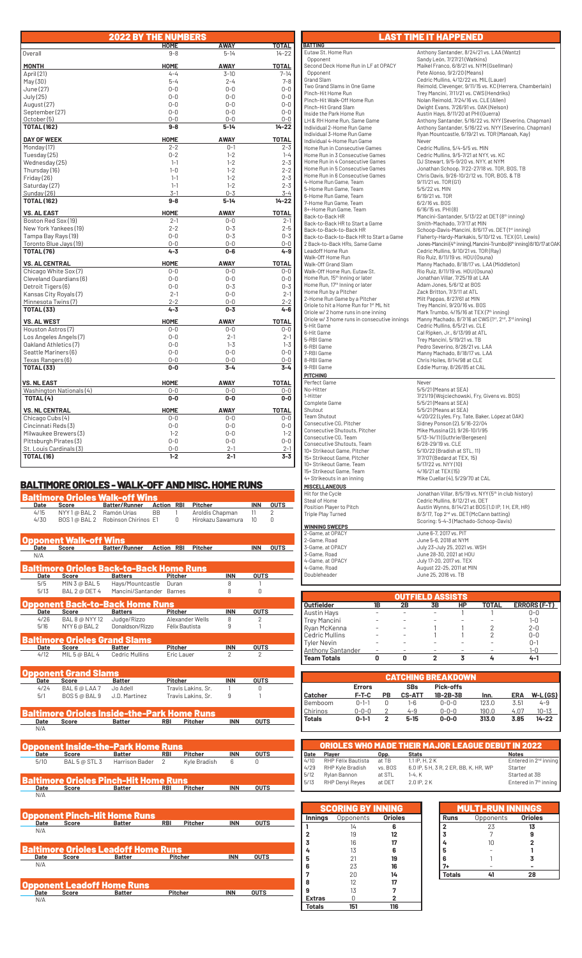|                                              | <b>2022 BY THE NUMBERS</b> |                    |                    |
|----------------------------------------------|----------------------------|--------------------|--------------------|
|                                              | <b>HOME</b>                | AWAY               | TOTAL              |
| Overall                                      | $9 - 8$                    | $5 - 14$           | $14 - 22$          |
| <b>MONTH</b>                                 | <b>HOME</b>                | <b>AWAY</b>        | <b>TOTAL</b>       |
| April (21)                                   | $4 - 4$                    | $3 - 10$           | $7 - 14$           |
| May(30)                                      | $5 - 4$                    | $2 - 4$            | $7 - 8$            |
| June (27)                                    | $0 - 0$                    | $0 - 0$            | $0 - 0$            |
| July (25)                                    | $0 - 0$                    | $0 - 0$            | $0 - 0$            |
| August (27)                                  | $0 - 0$                    | $0 - 0$            | $0 - 0$            |
| September (27)                               | $0 - 0$                    | $0 - 0$            | $0 - 0$            |
| October (5)                                  | $0 - 0$                    | $0 - 0$            | $0 - 0$            |
| <b>TOTAL (162)</b>                           | $9-8$                      | $5 - 14$           | $14 - 22$          |
| <b>DAY OF WEEK</b>                           | <b>HOME</b>                | <b>AWAY</b>        | <b>TOTAL</b>       |
| Monday (17)                                  | $2 - 2$                    | $0 - 1$            | $2 - 3$            |
| Tuesday (25)                                 | $0 - 2$                    | $1 - 2$            | $1 - 4$            |
| Wednesday (25)                               | $1 - 1$                    | $1 - 2$            | $2 - 3$            |
| Thursday (16)                                | $1 - 0$                    | $1 - 2$            | $2 - 2$            |
| Friday (26)                                  | $1 - 1$                    | $1 - 2$            | $2 - 3$            |
| Saturday (27)                                | $1 - 1$                    | $1 - 2$            | $2 - 3$            |
| Sunday (26)                                  | $3-1$                      | $0 - 3$            | $3 - 4$            |
| <b>TOTAL (162)</b>                           | 9-8                        | $5 - 14$           | $14 - 22$          |
| <b>VS. AL EAST</b>                           | <b>HOME</b>                | <b>AWAY</b>        | <b>TOTAL</b>       |
| Boston Red Sox (19)                          | $2 - 1$                    | $0-0$              | $2 - 1$            |
| New York Yankees (19)                        | $2 - 2$                    | $0 - 3$            | $2 - 5$            |
| Tampa Bay Rays (19)                          | $0 - 0$                    | $0 - 3$            | $0 - 3$            |
| Toronto Blue Jays (19)                       | $0 - 0$                    | $0 - 0$            | $0 - 0$            |
| <b>TOTAL (76)</b>                            | $4 - 3$                    | $0 - 6$            | $4 - 9$            |
| <b>VS. AL CENTRAL</b>                        | <b>HOME</b>                | <b>AWAY</b>        | <b>TOTAL</b>       |
| Chicago White Sox (7)                        | $0 - 0$                    | $0 - 0$            | $0 - 0$            |
| Cleveland Guardians (6)                      | $0 - 0$                    | $0 - 0$            | $0 - 0$            |
| Detroit Tigers (6)                           | $0 - 0$                    | $0 - 3$            | $0 - 3$            |
| Kansas City Royals (7)                       | $2 - 1$                    | $0 - 0$            | $2 - 1$            |
| Minnesota Twins(7)<br><b>TOTAL (33)</b>      | $2 - 2$<br>$4 - 3$         | $0 - 0$<br>$0 - 3$ | $2 - 2$<br>$4 - 6$ |
|                                              |                            |                    |                    |
| <b>VS. AL WEST</b>                           | HOME                       | <b>AWAY</b>        | <b>TOTAL</b>       |
| Houston Astros (7)                           | $0-0$                      | 0-0                | $0 - 0$            |
| Los Angeles Angels (7)                       | $0 - 0$                    | $2 - 1$<br>$1 - 3$ | $2 - 1$<br>$1 - 3$ |
| Oakland Athletics (7)                        | $0-0$                      |                    |                    |
| Seattle Mariners (6)                         | $0 - 0$<br>$0 - 0$         | $0 - 0$<br>$0 - 0$ | $0 - 0$            |
| Texas Rangers (6)<br><b>TOTAL (33)</b>       | $0-0$                      | $3 - 4$            | $0-0$<br>$3 - 4$   |
|                                              |                            |                    |                    |
| <b>VS. NL EAST</b>                           | <b>HOME</b>                | <b>AWAY</b>        | <b>TOTAL</b>       |
| Washington Nationals (4)                     | $0-0$                      | $0-0$              | $0-0$              |
| TOTAL (4)                                    | $0-0$                      | $0-0$              | $0-0$              |
| <b>VS. NL CENTRAL</b>                        | <b>HOME</b>                | <b>AWAY</b>        | <b>TOTAL</b>       |
| Chicago Cubs (4)                             | $0 - 0$                    | $0 - 0$            | $0 - 0$            |
| Cincinnati Reds(3)                           | $0 - 0$                    | $0 - 0$            | $0 - 0$            |
| Milwaukee Brewers (3)                        | $1 - 2$                    | $0 - 0$            | $1 - 2$            |
| Pittsburgh Pirates (3)                       | $0 - 0$                    | $0 - 0$            | $0 - 0$            |
| St. Louis Cardinals (3)<br><b>TOTAL (16)</b> | $0 - 0$<br>$1 - 2$         | $2 - 1$<br>$2 - 1$ | $2 - 1$<br>$3 - 3$ |
|                                              |                            |                    |                    |

## BALTIMORE ORIOLES - WALK-OFF AND MISC. HOME RUNS

| Baltimore Orioles Walk-off Wins<br><b>Action RBI</b><br>Pitcher<br><b>INN</b><br>Date<br><b>Score</b><br><b>Batter/Runner</b><br>Ramón Urías<br>Aroldis Chapman<br>4/15<br>NYY 1@ BAL 2<br>BB<br>11<br>1<br>4/30<br>Robinson Chirinos E1<br>$\Omega$<br>Hirokazu Sawamura<br>BOS 1 @ BAL 2<br>10 <sup>10</sup><br>pponent Walk-off Wins<br>Batter/Runner<br><b>Action RBI</b><br><b>Pitcher</b><br><b>INN</b><br>Date<br>Score<br>N/A<br>altimore Orioles Back-to-Back Home Runs<br><b>INN</b><br><b>OUTS</b><br><b>Batters</b><br>Date<br><b>Score</b><br><b>Pitcher</b><br>MIN 3 @ BAL 5<br>Hays/Mountcastle<br>5/5<br>Duran<br>8<br>1<br>Mancini/Santander Barnes<br>8<br>0<br>5/13<br>BAL 2 @ DET 4<br>pponent Back-to-Back Home Runs<br><b>INN</b><br><b>OUTS</b><br><b>Batters</b><br><b>Pitcher</b><br>Date<br>Score<br>4/26<br><b>BAL 8 @ NYY 12</b><br>Judge/Rizzo<br>Alexander Wells<br>8<br>2<br>Donaldson/Rizzo<br>5/16<br>NYY 6 @ BAL 2<br>Félix Bautista<br>9<br>1<br>altimore Orioles Grand Slams!<br><b>INN</b><br><b>OUTS</b><br><b>Batter</b><br><b>Pitcher</b><br>Date<br>Score<br>4/12<br>MIL 5 @ BAL 4<br><b>Cedric Mullins</b><br>Eric Lauer<br>$\overline{2}$<br>2<br>pponent Grand Slams<br><b>Pitcher</b><br><b>INN</b><br><b>OUTS</b><br>Date<br>Score<br><b>Batter</b><br>4/24<br>BAL 6 @ LAA 7<br>Travis Lakins, Sr.<br><b>Jo Adell</b><br>0<br>1<br>9<br>5/1<br>BOS 5 @ BAL 9<br>J.D. Martinez<br>Travis Lakins, Sr.<br>1<br>Baltimore Orioles Inside-the-Park Home Runs | <b>OUTS</b><br>2<br>0<br><b>OUTS</b> |
|-------------------------------------------------------------------------------------------------------------------------------------------------------------------------------------------------------------------------------------------------------------------------------------------------------------------------------------------------------------------------------------------------------------------------------------------------------------------------------------------------------------------------------------------------------------------------------------------------------------------------------------------------------------------------------------------------------------------------------------------------------------------------------------------------------------------------------------------------------------------------------------------------------------------------------------------------------------------------------------------------------------------------------------------------------------------------------------------------------------------------------------------------------------------------------------------------------------------------------------------------------------------------------------------------------------------------------------------------------------------------------------------------------------------------------------------------------------------------------------------------------|--------------------------------------|
|                                                                                                                                                                                                                                                                                                                                                                                                                                                                                                                                                                                                                                                                                                                                                                                                                                                                                                                                                                                                                                                                                                                                                                                                                                                                                                                                                                                                                                                                                                       |                                      |
|                                                                                                                                                                                                                                                                                                                                                                                                                                                                                                                                                                                                                                                                                                                                                                                                                                                                                                                                                                                                                                                                                                                                                                                                                                                                                                                                                                                                                                                                                                       |                                      |
|                                                                                                                                                                                                                                                                                                                                                                                                                                                                                                                                                                                                                                                                                                                                                                                                                                                                                                                                                                                                                                                                                                                                                                                                                                                                                                                                                                                                                                                                                                       |                                      |
|                                                                                                                                                                                                                                                                                                                                                                                                                                                                                                                                                                                                                                                                                                                                                                                                                                                                                                                                                                                                                                                                                                                                                                                                                                                                                                                                                                                                                                                                                                       |                                      |
|                                                                                                                                                                                                                                                                                                                                                                                                                                                                                                                                                                                                                                                                                                                                                                                                                                                                                                                                                                                                                                                                                                                                                                                                                                                                                                                                                                                                                                                                                                       |                                      |
|                                                                                                                                                                                                                                                                                                                                                                                                                                                                                                                                                                                                                                                                                                                                                                                                                                                                                                                                                                                                                                                                                                                                                                                                                                                                                                                                                                                                                                                                                                       |                                      |
|                                                                                                                                                                                                                                                                                                                                                                                                                                                                                                                                                                                                                                                                                                                                                                                                                                                                                                                                                                                                                                                                                                                                                                                                                                                                                                                                                                                                                                                                                                       |                                      |
|                                                                                                                                                                                                                                                                                                                                                                                                                                                                                                                                                                                                                                                                                                                                                                                                                                                                                                                                                                                                                                                                                                                                                                                                                                                                                                                                                                                                                                                                                                       |                                      |
|                                                                                                                                                                                                                                                                                                                                                                                                                                                                                                                                                                                                                                                                                                                                                                                                                                                                                                                                                                                                                                                                                                                                                                                                                                                                                                                                                                                                                                                                                                       |                                      |
|                                                                                                                                                                                                                                                                                                                                                                                                                                                                                                                                                                                                                                                                                                                                                                                                                                                                                                                                                                                                                                                                                                                                                                                                                                                                                                                                                                                                                                                                                                       |                                      |
|                                                                                                                                                                                                                                                                                                                                                                                                                                                                                                                                                                                                                                                                                                                                                                                                                                                                                                                                                                                                                                                                                                                                                                                                                                                                                                                                                                                                                                                                                                       |                                      |
|                                                                                                                                                                                                                                                                                                                                                                                                                                                                                                                                                                                                                                                                                                                                                                                                                                                                                                                                                                                                                                                                                                                                                                                                                                                                                                                                                                                                                                                                                                       |                                      |
|                                                                                                                                                                                                                                                                                                                                                                                                                                                                                                                                                                                                                                                                                                                                                                                                                                                                                                                                                                                                                                                                                                                                                                                                                                                                                                                                                                                                                                                                                                       |                                      |
|                                                                                                                                                                                                                                                                                                                                                                                                                                                                                                                                                                                                                                                                                                                                                                                                                                                                                                                                                                                                                                                                                                                                                                                                                                                                                                                                                                                                                                                                                                       |                                      |
|                                                                                                                                                                                                                                                                                                                                                                                                                                                                                                                                                                                                                                                                                                                                                                                                                                                                                                                                                                                                                                                                                                                                                                                                                                                                                                                                                                                                                                                                                                       |                                      |
|                                                                                                                                                                                                                                                                                                                                                                                                                                                                                                                                                                                                                                                                                                                                                                                                                                                                                                                                                                                                                                                                                                                                                                                                                                                                                                                                                                                                                                                                                                       |                                      |
|                                                                                                                                                                                                                                                                                                                                                                                                                                                                                                                                                                                                                                                                                                                                                                                                                                                                                                                                                                                                                                                                                                                                                                                                                                                                                                                                                                                                                                                                                                       |                                      |
|                                                                                                                                                                                                                                                                                                                                                                                                                                                                                                                                                                                                                                                                                                                                                                                                                                                                                                                                                                                                                                                                                                                                                                                                                                                                                                                                                                                                                                                                                                       |                                      |
|                                                                                                                                                                                                                                                                                                                                                                                                                                                                                                                                                                                                                                                                                                                                                                                                                                                                                                                                                                                                                                                                                                                                                                                                                                                                                                                                                                                                                                                                                                       |                                      |
|                                                                                                                                                                                                                                                                                                                                                                                                                                                                                                                                                                                                                                                                                                                                                                                                                                                                                                                                                                                                                                                                                                                                                                                                                                                                                                                                                                                                                                                                                                       |                                      |
|                                                                                                                                                                                                                                                                                                                                                                                                                                                                                                                                                                                                                                                                                                                                                                                                                                                                                                                                                                                                                                                                                                                                                                                                                                                                                                                                                                                                                                                                                                       |                                      |
| <b>INN</b><br><b>Date</b><br><b>Score</b><br><b>Batter</b><br><b>RBI</b><br><b>OUTS</b><br><b>Pitcher</b>                                                                                                                                                                                                                                                                                                                                                                                                                                                                                                                                                                                                                                                                                                                                                                                                                                                                                                                                                                                                                                                                                                                                                                                                                                                                                                                                                                                             |                                      |
| N/A                                                                                                                                                                                                                                                                                                                                                                                                                                                                                                                                                                                                                                                                                                                                                                                                                                                                                                                                                                                                                                                                                                                                                                                                                                                                                                                                                                                                                                                                                                   |                                      |
| pponent Inside-the-Park Home Runs                                                                                                                                                                                                                                                                                                                                                                                                                                                                                                                                                                                                                                                                                                                                                                                                                                                                                                                                                                                                                                                                                                                                                                                                                                                                                                                                                                                                                                                                     |                                      |
| <b>INN</b><br><b>OUTS</b><br>Pitcher<br>Date<br>Score<br><b>Batter</b><br>RBI                                                                                                                                                                                                                                                                                                                                                                                                                                                                                                                                                                                                                                                                                                                                                                                                                                                                                                                                                                                                                                                                                                                                                                                                                                                                                                                                                                                                                         |                                      |
| BAL 5 @ STL 3<br>Harrison Bader<br>Kyle Bradish<br>5/10<br>$\overline{2}$<br>6<br>Ω                                                                                                                                                                                                                                                                                                                                                                                                                                                                                                                                                                                                                                                                                                                                                                                                                                                                                                                                                                                                                                                                                                                                                                                                                                                                                                                                                                                                                   |                                      |
| altimore Orioles Pinch-Hit Home Runs                                                                                                                                                                                                                                                                                                                                                                                                                                                                                                                                                                                                                                                                                                                                                                                                                                                                                                                                                                                                                                                                                                                                                                                                                                                                                                                                                                                                                                                                  |                                      |
| <b>INN</b><br><b>OUTS</b><br><b>Score</b><br><b>Batter</b><br><b>RBI</b><br>Pitcher<br>Date                                                                                                                                                                                                                                                                                                                                                                                                                                                                                                                                                                                                                                                                                                                                                                                                                                                                                                                                                                                                                                                                                                                                                                                                                                                                                                                                                                                                           |                                      |
| N/A                                                                                                                                                                                                                                                                                                                                                                                                                                                                                                                                                                                                                                                                                                                                                                                                                                                                                                                                                                                                                                                                                                                                                                                                                                                                                                                                                                                                                                                                                                   |                                      |
| <b>Opponent Pinch-Hit Home Runs</b>                                                                                                                                                                                                                                                                                                                                                                                                                                                                                                                                                                                                                                                                                                                                                                                                                                                                                                                                                                                                                                                                                                                                                                                                                                                                                                                                                                                                                                                                   |                                      |
| <b>RBI</b><br><b>INN</b><br><b>Date</b><br><b>Batter</b><br><b>Pitcher</b><br><b>OUTS</b>                                                                                                                                                                                                                                                                                                                                                                                                                                                                                                                                                                                                                                                                                                                                                                                                                                                                                                                                                                                                                                                                                                                                                                                                                                                                                                                                                                                                             |                                      |
| <b>Score</b><br>N/A                                                                                                                                                                                                                                                                                                                                                                                                                                                                                                                                                                                                                                                                                                                                                                                                                                                                                                                                                                                                                                                                                                                                                                                                                                                                                                                                                                                                                                                                                   |                                      |
|                                                                                                                                                                                                                                                                                                                                                                                                                                                                                                                                                                                                                                                                                                                                                                                                                                                                                                                                                                                                                                                                                                                                                                                                                                                                                                                                                                                                                                                                                                       |                                      |
| Baltimore Orioles Leadoff Home Runs                                                                                                                                                                                                                                                                                                                                                                                                                                                                                                                                                                                                                                                                                                                                                                                                                                                                                                                                                                                                                                                                                                                                                                                                                                                                                                                                                                                                                                                                   |                                      |
|                                                                                                                                                                                                                                                                                                                                                                                                                                                                                                                                                                                                                                                                                                                                                                                                                                                                                                                                                                                                                                                                                                                                                                                                                                                                                                                                                                                                                                                                                                       |                                      |
| <b>INN</b><br><b>OUTS</b><br><b>Score</b><br>Pitcher<br>Date<br><b>Batter</b><br>N/A                                                                                                                                                                                                                                                                                                                                                                                                                                                                                                                                                                                                                                                                                                                                                                                                                                                                                                                                                                                                                                                                                                                                                                                                                                                                                                                                                                                                                  |                                      |

**Opponent Leadoff Home Runs**<br> **Date** Score Batter **Pitcher** INN OUTS

N/A

**BATTING**<br>Eutaw St. Home Run Eutaw St. Home Run Anthony Santander, 8/24/21 vs. LAA (Wantz)<br>Coponent Anthony Sandy León, 7/27/21 (Watkins) Opponent Sandy León, 7/27/21 (Watkins) Second Deck Home Run in LF at OPACY<br>
Opponent Pete Alonso, 9/2/20 (Means)<br>
Copponent Pete Alonso, 9/2/20 (Means)<br>
Two Grand Slams in One Game Reimold, Clevenger, 9/11/15 vs. KC (Herrera, Chamberlain)<br>
Trey Mancini, 7/11/21 Pinch-Hit Walk-Off Home Run Nolan Reimold, 7/24/16 vs. CLE (Allen) Pinch-Hit Grand Slam Dwight Evans, 7/26/91 vs. OAK (Nelson) Inside the Park Home Run Austin Hays, 8/11/20 at PHI (Guerra) LH & RH Home Run, Same Game Anthony Santander, 5/16/22 vs. NYY (Severino, Chapman) Individual 2-Home Run Game Anthony Santander, 5/16/22 vs. NYY (Severino, Chapman) Individual 3-Home Run Game Ryan Mountcastle, 6/19/21 vs. TOR (Manoah, Kay) Pinch-Hit Grand Siam<br>
Inside the Park Home Run<br>
LH & RH Home Run, Same Game<br>
LH & RH Home Run, Same Game<br>
LH & RH Home Run, Same Game<br>
Anthony Santander, 5/16/22 vs<br>
Individual 3-Home Run Game<br>
Home Run in Consecutive Game Home Run in Consecutive Games Cedric Mullins, 5/4-5/5 vs. MIN Home Run in 3 Consecutive Games Cedric Mullins, 9/5-7/21 at NYY, vs. KC Home Run in 4 Consecutive Games DJ Stewart, 9/5-9/20 vs. NYY, at NYM Home Run in 5 Consecutive Games Jonathan Schoop, 7/22-27/18 vs. TOR, BOS, TB Home Run in 6 Consecutive Games Chris Davis, 9/26-10/2/12 vs. TOR, BOS, & TB 4-Home Run Game, Team 9/11/21 vs. TOR (G1) 5-Home Run Game, Team 5/5/22 vs. MIN 6-Home Run Game, Team 6/19/21 vs. TOR 7-Home Run Game, Team<br>8+-Home Run Game, Team 8+-Home Run Game, Team 6/16/15 vs. PHI (8) Back-to-Back HR Mancini-Santander, 5/13/22 at DET (8<sup>th</sup> inning) Back-to-Back HR to Start a Game Smith-Machado, 7/7/17 at MIN Back-to-Back-to-Back HR Schoop-Davis-Mancini, 8/6/17 vs. DET (1<sup>st</sup> inning) Back-to-Back-to-Back HR to Start a Game Flaherty-Hardy-Markakis, 5/10/12 vs. TEX (G1, Lewis) 2 Back-to-Back HRs, Same Game Jones-Mancini (4th inning), Mancini-Trumbo (6th inning) 8/10/17 at OAK Leadoff Home Run<br>
Walk-Off Home Run<br>
Walk-Off Grand Slam<br>
Walk-Off Grand Slam<br>
Walk-Off Home Run, Eutaw St.<br>
Walk-Off Home Run, Eutaw St.<br>
Walk-Off Home Run, Eutaw St.<br>
Walk-Off Home Run, Eutaw St.<br>
Home Run, IS<sup>th</sup> Inning Walk-Off Grand Slam<br>Walk-Off Home Run, Eutaw St.<br>Home Run, 15<sup>th</sup> Inning or later<br>Home Run, 17<sup>th</sup> Inning or later<br>Home Run by a Pitcher Home Run, 17<sup>th</sup> Inning or later and the Madam Jones, 5/6/12 at BOS<br>Home Run by a Pitcher Zack Britton, 7/3/11 at ATL<br>2-Home Run Game by a Pitcher Mill Pappas, 8/27/61 at MIN 2-Home Run Game by a Pitcher Milt Pappas, 8/27/61 at MIN Oriole to hit a Home Run for 1<sup>st</sup> ML hit Trey Mancini, 9/20/16 vs. BOS<br>Oriole w/ 2 home runs in one inning Mark Trumbo, 4/15/16 at TEX (7<sup>th</sup> inning) Oriole w/ 3 home runs in consecutive innings Manny Machado, 8/7/16 at CWS ( $1^{\text{st}}$ ,  $2^{\text{nd}}$ ,  $3^{\text{rd}}$  inning) 5-Hit Game Cedric Mullins, 6/5/21 vs. CLE 6-Hit Game Cal Ripken, Jr., 6/13/99 at ATL 5-RBI Game Trey Mancini, 5/19/21 vs. TB 6-RBI Game Pedro Severino, 8/26/21 vs. LAA 7-RBI Game Manny Machado, 8/18/17 vs. LAA 8-RBI Game Chris Hoiles, 8/14/98 at CLE 9-RBI Game Eddie Murray, 8/26/85 at CAL  **PITCHING** Perfect Game<br>
No-Hitter<br>
1-Hitter<br>
Complete Game No-Hitter 5/5/21 (Means at SEA) 1-Hitter 7/21/19 (Wojciechowski, Fry, Givens vs. BOS) Complete Game 5/5/21 (Means at SEA) Shutout 5/5/21 (Means at SEA)<br>Team Shutout 6/2012/11 views Fry. Tai Team Shutout 4/20/22 (Lyles, Fry, Tate, Baker, López at OAK) Consecutive CG, Pitcher Sidney Ponson (2), 5/16-22/04 Consecutive Shutouts, Pitcher Mike Mussina (2), 9/26-10/1/95<br>Consecutive CG, Team 5/13-14/11 (Guthrie/Bergesen)<br>Consecutive Shutouts, Team 6/28-29/19 vs. CLE 10+ Strikeout Game, Pitcher 5/10/22 (Bradish at STL, 11) 15+ Strikeout Game, Pitcher 7/7/07 (Bedard at TEX, 15) 10+ Strikeout Game, Team 5/17/22 vs. NYY (10) 15+ Strikeout Game, Team 4/16/21 at TEX (15) 15+ Strikeout Garrie, Team<br>4+ Strikeouts in an inning Mike Cuellar (4), 5/29/70 at CAL  **MISCELLANEOUS** Hit for the Cycle<br>
Steal of Home<br>
Steal of Home<br>
Position Player to Pitch<br>
Position Player to Pitch<br>
Austin Wynns, 8/14/21 at BOS (1.0 IP, 1 H, ER, HR)<br>
Triple Play Turned<br>
Scoring: 5-4-3 (Machado-Schoop-Davis)<br>
Scoring: 5  **WINNING SWEEPS** 2-Game, at OPACY June 6-7, 2017 vs. PIT 2-Game, Road June 5-6, 2018 at NYM 3-Game, at OPACY July 23-July 25, 2021 vs. WSH 3-Game, Road June 28-30, 2021 at HOU 4-Game, at OPACY July 17-20, 2017 vs. TEX 4-Game, Road August 22-25, 2011 at MIN Doubleheader June 25, 2016 vs. TB

LAST TIME IT HAPPENED

|                          |    |    | OUTFIELD ASSISTS |    |       |                     |
|--------------------------|----|----|------------------|----|-------|---------------------|
| <b>Outfielder</b>        | 1B | 2B | 3B               | ΗP | TOTAL | <b>ERRORS (F-T)</b> |
| Austin Hays              |    |    |                  |    |       | $0 - 0$             |
| <b>Trey Mancini</b>      |    |    |                  |    |       | $1 - 0$             |
| Ryan McKenna             |    |    |                  |    |       | $2 - 0$             |
| <b>Cedric Mullins</b>    |    |    |                  |    |       | $0 - 0$             |
| <b>Tyler Nevin</b>       |    |    |                  |    |       | $0 - 1$             |
| <b>Anthony Santander</b> |    | -  |                  |    |       | $1 - 0$             |
| <b>Team Totals</b>       |    |    |                  |    |       | $4 - 1$             |

|               |               |    |               | <b>CATCHING BREAKDOWN</b> |       |            |           |
|---------------|---------------|----|---------------|---------------------------|-------|------------|-----------|
|               | <b>Errors</b> |    | <b>SBs</b>    | Pick-offs                 |       |            |           |
| Catcher       | $F-T-C$       | PB | <b>CS-ATT</b> | 1B-2B-3B                  | lnn.  | <b>ERA</b> | $W-L(GS)$ |
| Bemboom       | $n - 1 - 1$   | 0  | 1-6           | $0 - 0 - 0$               | 123.0 | 3.51       | $4 - 9$   |
| Chirinos      | $0 - 0 - 0$   |    | $4 - 9$       | $0 - 0 - 0$               | 190.0 | 4.07       | $10 - 13$ |
| <b>Totals</b> | $0 - 1 - 1$   | 2  | $5-15$        | $0 - 0 - 0$               | 313.0 | 3.85       | $14 - 22$ |

|      |                    |         | <b>ORIOLES WHO MADE THEIR MAJOR LEAGUE DEBUT IN 2022</b> |                                   |
|------|--------------------|---------|----------------------------------------------------------|-----------------------------------|
|      |                    |         |                                                          |                                   |
| Date | <b>Plaver</b>      | Opp.    | <b>Stats</b>                                             | <b>Notes</b>                      |
| 4/10 | RHP Félix Bautista | at TB   | $1.1$ IP, H, $2K$                                        | Entered in 2 <sup>nd</sup> inning |
| 4/29 | RHP Kyle Bradish   | vs. BOS | 6.0 IP, 5 H, 3 R, 2 ER, BB, K, HR, WP                    | Starter                           |
| 5/12 | Rylan Bannon       | at STL  | $1 - 4. K$                                               | Started at 3B                     |
| 5/13 | RHP Denyi Reyes    | at DFT  | 2.0 IP, 2 K                                              | Entered in 7 <sup>th</sup> inning |
|      |                    |         |                                                          |                                   |

|                | <b>SCORING BY INNING</b> |                |
|----------------|--------------------------|----------------|
| <b>Innings</b> | Opponents                | <b>Orioles</b> |
| 1              | 14                       | 6              |
| $\overline{2}$ | 19                       | 12             |
| $\frac{1}{4}$  | 16                       | 17             |
|                | 13                       | 6              |
| $\overline{5}$ | 21                       | 19             |
| 6              | 23                       | 16             |
| $\overline{7}$ | 20                       | 14             |
| 8              | 12                       | 17             |
| 9              | 13                       | 7              |
| <b>Extras</b>  | 0                        | 2              |
| <b>Totals</b>  | 151                      | 116            |
|                |                          |                |

|                | <b>MULTI-RUN INNINGS</b> |                |
|----------------|--------------------------|----------------|
| <b>Runs</b>    | Opponents                | <b>Orioles</b> |
| $\overline{2}$ | 23                       | 13             |
| 3              |                          | 9              |
|                | 10                       | $\overline{2}$ |
| 5              |                          |                |
| 6              |                          | 3              |
| 7+             |                          |                |
| <b>Totals</b>  |                          | 28             |